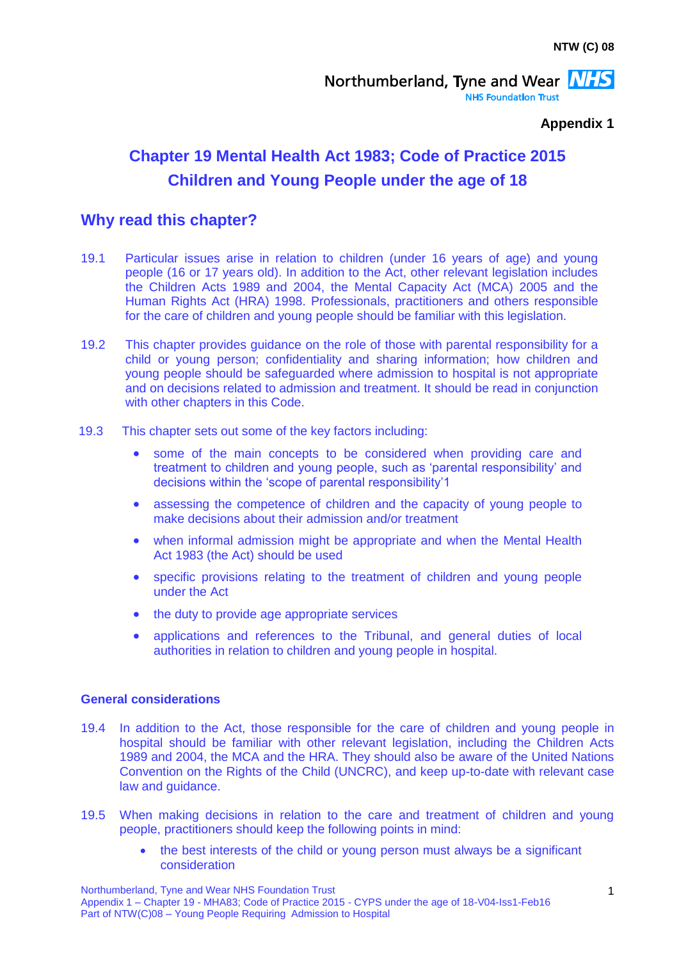**NHS Foundation Trust** 

# **Appendix 1**

# **Chapter 19 Mental Health Act 1983; Code of Practice 2015 Children and Young People under the age of 18**

# **Why read this chapter?**

- 19.1 Particular issues arise in relation to children (under 16 years of age) and young people (16 or 17 years old). In addition to the Act, other relevant legislation includes the Children Acts 1989 and 2004, the Mental Capacity Act (MCA) 2005 and the Human Rights Act (HRA) 1998. Professionals, practitioners and others responsible for the care of children and young people should be familiar with this legislation.
- 19.2 This chapter provides guidance on the role of those with parental responsibility for a child or young person; confidentiality and sharing information; how children and young people should be safeguarded where admission to hospital is not appropriate and on decisions related to admission and treatment. It should be read in conjunction with other chapters in this Code.
- 19.3 This chapter sets out some of the key factors including:
	- some of the main concepts to be considered when providing care and treatment to children and young people, such as 'parental responsibility' and decisions within the 'scope of parental responsibility'1
	- assessing the competence of children and the capacity of young people to make decisions about their admission and/or treatment
	- when informal admission might be appropriate and when the Mental Health Act 1983 (the Act) should be used
	- specific provisions relating to the treatment of children and young people under the Act
	- the duty to provide age appropriate services
	- applications and references to the Tribunal, and general duties of local authorities in relation to children and young people in hospital.

# **General considerations**

- 19.4 In addition to the Act, those responsible for the care of children and young people in hospital should be familiar with other relevant legislation, including the Children Acts 1989 and 2004, the MCA and the HRA. They should also be aware of the United Nations Convention on the Rights of the Child (UNCRC), and keep up-to-date with relevant case law and guidance.
- 19.5 When making decisions in relation to the care and treatment of children and young people, practitioners should keep the following points in mind:
	- the best interests of the child or young person must always be a significant consideration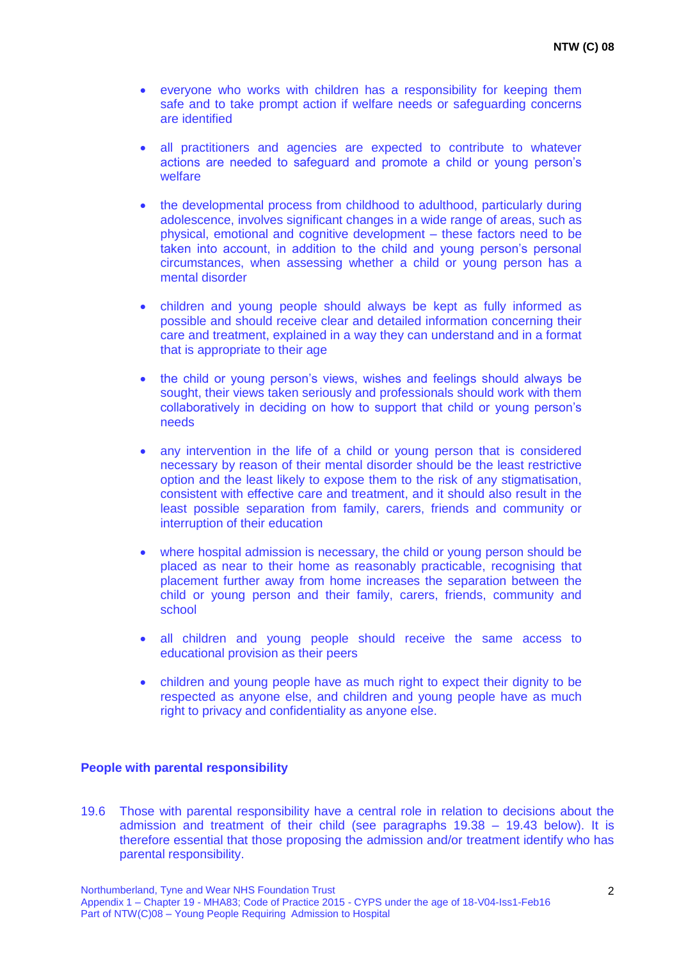- everyone who works with children has a responsibility for keeping them safe and to take prompt action if welfare needs or safeguarding concerns are identified
- all practitioners and agencies are expected to contribute to whatever actions are needed to safeguard and promote a child or young person's welfare
- the developmental process from childhood to adulthood, particularly during adolescence, involves significant changes in a wide range of areas, such as physical, emotional and cognitive development – these factors need to be taken into account, in addition to the child and young person's personal circumstances, when assessing whether a child or young person has a mental disorder
- children and young people should always be kept as fully informed as possible and should receive clear and detailed information concerning their care and treatment, explained in a way they can understand and in a format that is appropriate to their age
- the child or young person's views, wishes and feelings should always be sought, their views taken seriously and professionals should work with them collaboratively in deciding on how to support that child or young person's needs
- any intervention in the life of a child or young person that is considered necessary by reason of their mental disorder should be the least restrictive option and the least likely to expose them to the risk of any stigmatisation, consistent with effective care and treatment, and it should also result in the least possible separation from family, carers, friends and community or interruption of their education
- where hospital admission is necessary, the child or young person should be placed as near to their home as reasonably practicable, recognising that placement further away from home increases the separation between the child or young person and their family, carers, friends, community and school
- all children and young people should receive the same access to educational provision as their peers
- children and young people have as much right to expect their dignity to be respected as anyone else, and children and young people have as much right to privacy and confidentiality as anyone else.

#### **People with parental responsibility**

19.6 Those with parental responsibility have a central role in relation to decisions about the admission and treatment of their child (see paragraphs 19.38 – 19.43 below). It is therefore essential that those proposing the admission and/or treatment identify who has parental responsibility.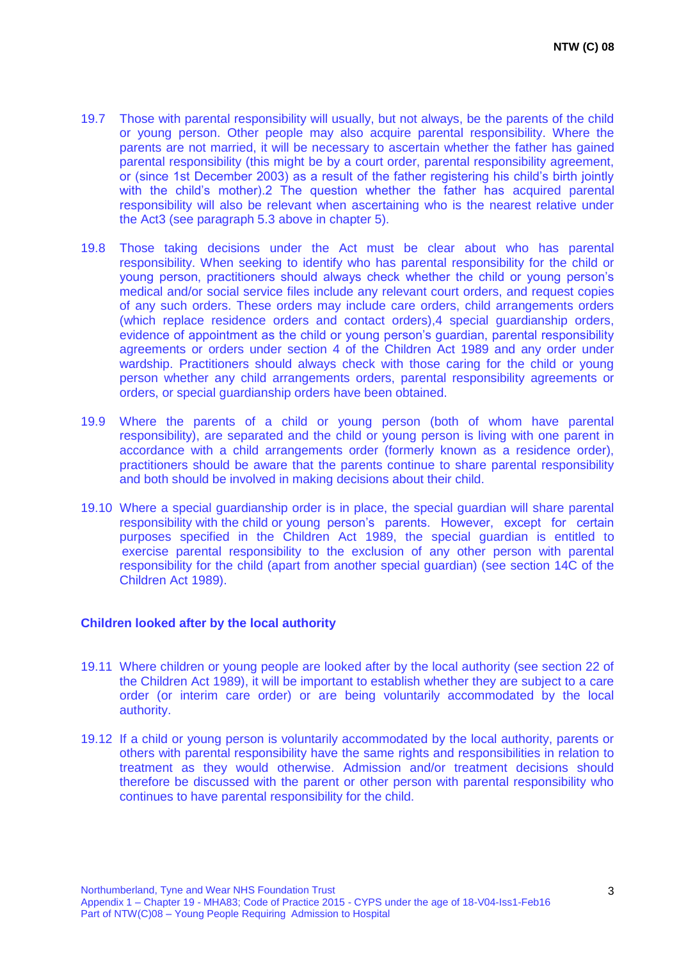- 19.7 Those with parental responsibility will usually, but not always, be the parents of the child or young person. Other people may also acquire parental responsibility. Where the parents are not married, it will be necessary to ascertain whether the father has gained parental responsibility (this might be by a court order, parental responsibility agreement, or (since 1st December 2003) as a result of the father registering his child's birth jointly with the child's mother).2 The question whether the father has acquired parental responsibility will also be relevant when ascertaining who is the nearest relative under the Act3 (see paragraph 5.3 above in chapter 5).
- 19.8 Those taking decisions under the Act must be clear about who has parental responsibility. When seeking to identify who has parental responsibility for the child or young person, practitioners should always check whether the child or young person's medical and/or social service files include any relevant court orders, and request copies of any such orders. These orders may include care orders, child arrangements orders (which replace residence orders and contact orders),4 special guardianship orders, evidence of appointment as the child or young person's guardian, parental responsibility agreements or orders under section 4 of the Children Act 1989 and any order under wardship. Practitioners should always check with those caring for the child or young person whether any child arrangements orders, parental responsibility agreements or orders, or special guardianship orders have been obtained.
- 19.9 Where the parents of a child or young person (both of whom have parental responsibility), are separated and the child or young person is living with one parent in accordance with a child arrangements order (formerly known as a residence order), practitioners should be aware that the parents continue to share parental responsibility and both should be involved in making decisions about their child.
- 19.10 Where a special guardianship order is in place, the special guardian will share parental responsibility with the child or young person's parents. However, except for certain purposes specified in the Children Act 1989, the special guardian is entitled to exercise parental responsibility to the exclusion of any other person with parental responsibility for the child (apart from another special guardian) (see section 14C of the Children Act 1989).

#### **Children looked after by the local authority**

- 19.11 Where children or young people are looked after by the local authority (see section 22 of the Children Act 1989), it will be important to establish whether they are subject to a care order (or interim care order) or are being voluntarily accommodated by the local authority.
- 19.12 If a child or young person is voluntarily accommodated by the local authority, parents or others with parental responsibility have the same rights and responsibilities in relation to treatment as they would otherwise. Admission and/or treatment decisions should therefore be discussed with the parent or other person with parental responsibility who continues to have parental responsibility for the child.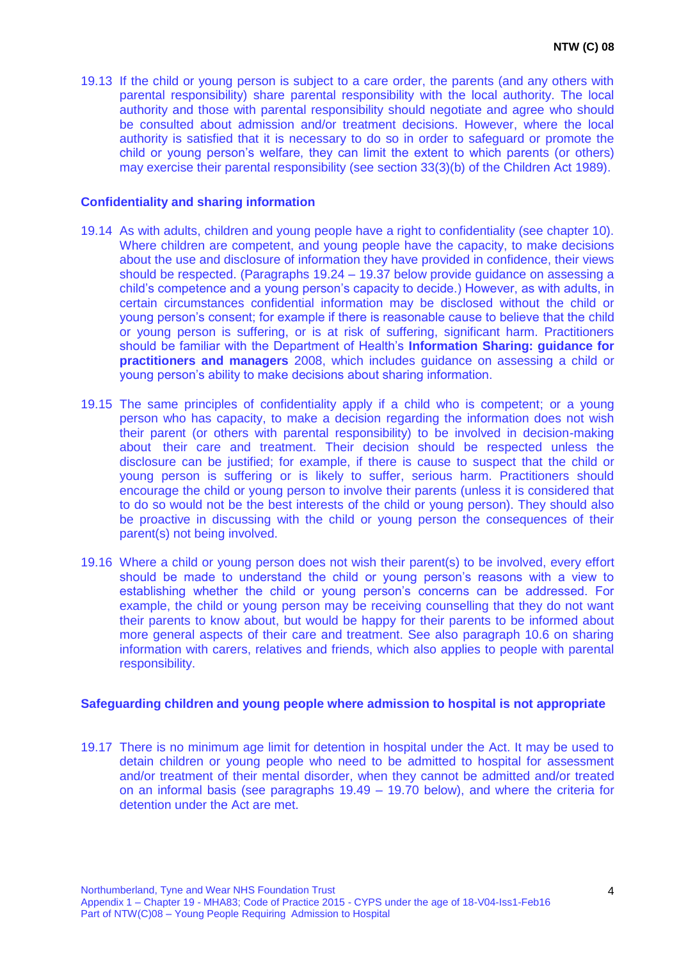19.13 If the child or young person is subject to a care order, the parents (and any others with parental responsibility) share parental responsibility with the local authority. The local authority and those with parental responsibility should negotiate and agree who should be consulted about admission and/or treatment decisions. However, where the local authority is satisfied that it is necessary to do so in order to safeguard or promote the child or young person's welfare, they can limit the extent to which parents (or others) may exercise their parental responsibility (see section 33(3)(b) of the Children Act 1989).

#### **Confidentiality and sharing information**

- 19.14 As with adults, children and young people have a right to confidentiality (see chapter 10). Where children are competent, and young people have the capacity, to make decisions about the use and disclosure of information they have provided in confidence, their views should be respected. (Paragraphs 19.24 – 19.37 below provide guidance on assessing a child's competence and a young person's capacity to decide.) However, as with adults, in certain circumstances confidential information may be disclosed without the child or young person's consent; for example if there is reasonable cause to believe that the child or young person is suffering, or is at risk of suffering, significant harm. Practitioners should be familiar with the Department of Health's **Information Sharing: guidance for practitioners and managers** 2008, which includes guidance on assessing a child or young person's ability to make decisions about sharing information.
- 19.15 The same principles of confidentiality apply if a child who is competent; or a young person who has capacity, to make a decision regarding the information does not wish their parent (or others with parental responsibility) to be involved in decision-making about their care and treatment. Their decision should be respected unless the disclosure can be justified; for example, if there is cause to suspect that the child or young person is suffering or is likely to suffer, serious harm. Practitioners should encourage the child or young person to involve their parents (unless it is considered that to do so would not be the best interests of the child or young person). They should also be proactive in discussing with the child or young person the consequences of their parent(s) not being involved.
- 19.16 Where a child or young person does not wish their parent(s) to be involved, every effort should be made to understand the child or young person's reasons with a view to establishing whether the child or young person's concerns can be addressed. For example, the child or young person may be receiving counselling that they do not want their parents to know about, but would be happy for their parents to be informed about more general aspects of their care and treatment. See also paragraph 10.6 on sharing information with carers, relatives and friends, which also applies to people with parental responsibility.

#### **Safeguarding children and young people where admission to hospital is not appropriate**

19.17 There is no minimum age limit for detention in hospital under the Act. It may be used to detain children or young people who need to be admitted to hospital for assessment and/or treatment of their mental disorder, when they cannot be admitted and/or treated on an informal basis (see paragraphs 19.49 – 19.70 below), and where the criteria for detention under the Act are met.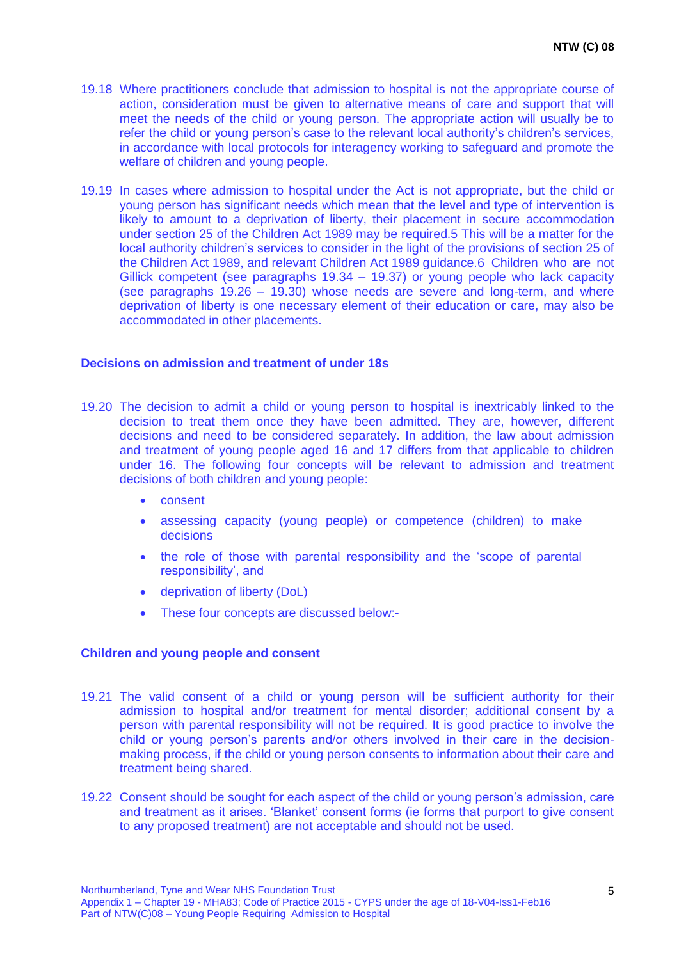- 19.18 Where practitioners conclude that admission to hospital is not the appropriate course of action, consideration must be given to alternative means of care and support that will meet the needs of the child or young person. The appropriate action will usually be to refer the child or young person's case to the relevant local authority's children's services, in accordance with local protocols for interagency working to safeguard and promote the welfare of children and young people.
- 19.19 In cases where admission to hospital under the Act is not appropriate, but the child or young person has significant needs which mean that the level and type of intervention is likely to amount to a deprivation of liberty, their placement in secure accommodation under section 25 of the Children Act 1989 may be required.5 This will be a matter for the local authority children's services to consider in the light of the provisions of section 25 of the Children Act 1989, and relevant Children Act 1989 guidance.6 Children who are not Gillick competent (see paragraphs 19.34 – 19.37) or young people who lack capacity (see paragraphs 19.26 – 19.30) whose needs are severe and long-term, and where deprivation of liberty is one necessary element of their education or care, may also be accommodated in other placements.

#### **Decisions on admission and treatment of under 18s**

- 19.20 The decision to admit a child or young person to hospital is inextricably linked to the decision to treat them once they have been admitted. They are, however, different decisions and need to be considered separately. In addition, the law about admission and treatment of young people aged 16 and 17 differs from that applicable to children under 16. The following four concepts will be relevant to admission and treatment decisions of both children and young people:
	- consent
	- assessing capacity (young people) or competence (children) to make decisions
	- the role of those with parental responsibility and the 'scope of parental responsibility', and
	- deprivation of liberty (DoL)
	- These four concepts are discussed below:-

# **Children and young people and consent**

- 19.21 The valid consent of a child or young person will be sufficient authority for their admission to hospital and/or treatment for mental disorder; additional consent by a person with parental responsibility will not be required. It is good practice to involve the child or young person's parents and/or others involved in their care in the decisionmaking process, if the child or young person consents to information about their care and treatment being shared.
- 19.22 Consent should be sought for each aspect of the child or young person's admission, care and treatment as it arises. 'Blanket' consent forms (ie forms that purport to give consent to any proposed treatment) are not acceptable and should not be used.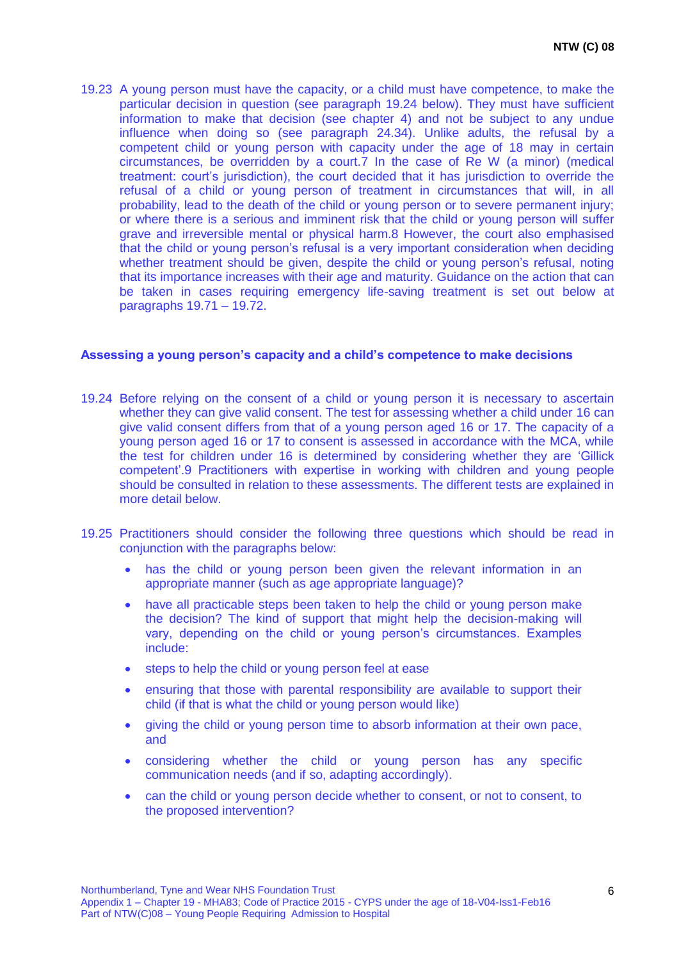19.23 A young person must have the capacity, or a child must have competence, to make the particular decision in question (see paragraph 19.24 below). They must have sufficient information to make that decision (see chapter 4) and not be subject to any undue influence when doing so (see paragraph 24.34). Unlike adults, the refusal by a competent child or young person with capacity under the age of 18 may in certain circumstances, be overridden by a court.7 In the case of Re W (a minor) (medical treatment: court's jurisdiction), the court decided that it has jurisdiction to override the refusal of a child or young person of treatment in circumstances that will, in all probability, lead to the death of the child or young person or to severe permanent injury; or where there is a serious and imminent risk that the child or young person will suffer grave and irreversible mental or physical harm.8 However, the court also emphasised that the child or young person's refusal is a very important consideration when deciding whether treatment should be given, despite the child or young person's refusal, noting that its importance increases with their age and maturity. Guidance on the action that can be taken in cases requiring emergency life-saving treatment is set out below at paragraphs 19.71 – 19.72.

#### **Assessing a young person's capacity and a child's competence to make decisions**

- 19.24 Before relying on the consent of a child or young person it is necessary to ascertain whether they can give valid consent. The test for assessing whether a child under 16 can give valid consent differs from that of a young person aged 16 or 17. The capacity of a young person aged 16 or 17 to consent is assessed in accordance with the MCA, while the test for children under 16 is determined by considering whether they are 'Gillick competent'.9 Practitioners with expertise in working with children and young people should be consulted in relation to these assessments. The different tests are explained in more detail below.
- 19.25 Practitioners should consider the following three questions which should be read in conjunction with the paragraphs below:
	- has the child or young person been given the relevant information in an appropriate manner (such as age appropriate language)?
	- have all practicable steps been taken to help the child or young person make the decision? The kind of support that might help the decision-making will vary, depending on the child or young person's circumstances. Examples include:
	- steps to help the child or young person feel at ease
	- ensuring that those with parental responsibility are available to support their child (if that is what the child or young person would like)
	- giving the child or young person time to absorb information at their own pace, and
	- considering whether the child or young person has any specific communication needs (and if so, adapting accordingly).
	- can the child or young person decide whether to consent, or not to consent, to the proposed intervention?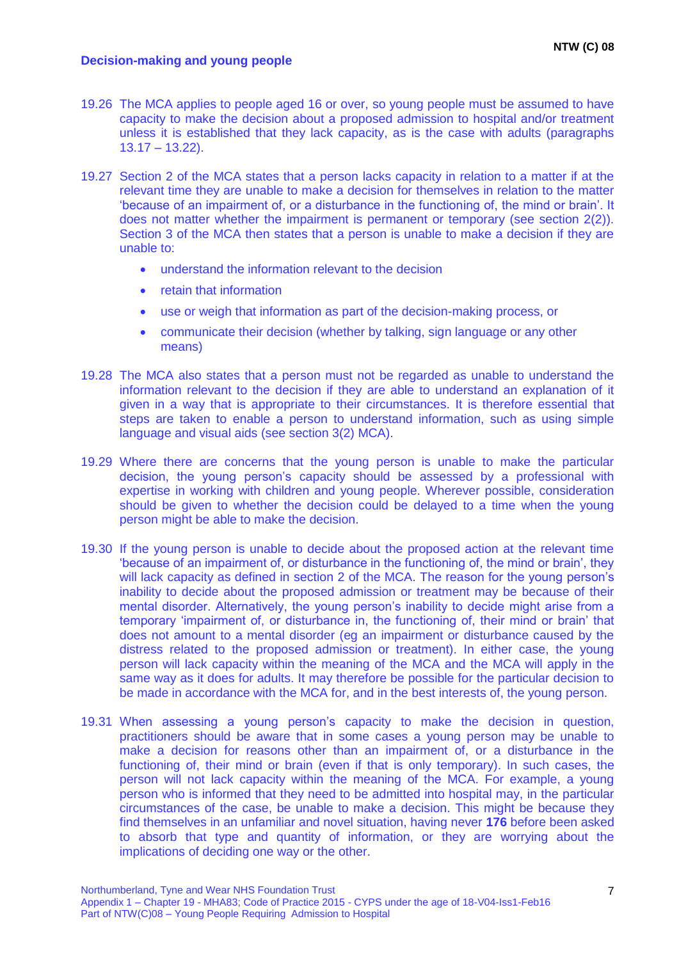#### **Decision-making and young people**

- 19.26 The MCA applies to people aged 16 or over, so young people must be assumed to have capacity to make the decision about a proposed admission to hospital and/or treatment unless it is established that they lack capacity, as is the case with adults (paragraphs 13.17 – 13.22).
- 19.27 Section 2 of the MCA states that a person lacks capacity in relation to a matter if at the relevant time they are unable to make a decision for themselves in relation to the matter 'because of an impairment of, or a disturbance in the functioning of, the mind or brain'. It does not matter whether the impairment is permanent or temporary (see section 2(2)). Section 3 of the MCA then states that a person is unable to make a decision if they are unable to:
	- understand the information relevant to the decision
	- retain that information
	- use or weigh that information as part of the decision-making process, or
	- communicate their decision (whether by talking, sign language or any other means)
- 19.28 The MCA also states that a person must not be regarded as unable to understand the information relevant to the decision if they are able to understand an explanation of it given in a way that is appropriate to their circumstances. It is therefore essential that steps are taken to enable a person to understand information, such as using simple language and visual aids (see section 3(2) MCA).
- 19.29 Where there are concerns that the young person is unable to make the particular decision, the young person's capacity should be assessed by a professional with expertise in working with children and young people. Wherever possible, consideration should be given to whether the decision could be delayed to a time when the young person might be able to make the decision.
- 19.30 If the young person is unable to decide about the proposed action at the relevant time 'because of an impairment of, or disturbance in the functioning of, the mind or brain', they will lack capacity as defined in section 2 of the MCA. The reason for the young person's inability to decide about the proposed admission or treatment may be because of their mental disorder. Alternatively, the young person's inability to decide might arise from a temporary 'impairment of, or disturbance in, the functioning of, their mind or brain' that does not amount to a mental disorder (eg an impairment or disturbance caused by the distress related to the proposed admission or treatment). In either case, the young person will lack capacity within the meaning of the MCA and the MCA will apply in the same way as it does for adults. It may therefore be possible for the particular decision to be made in accordance with the MCA for, and in the best interests of, the young person.
- 19.31 When assessing a young person's capacity to make the decision in question, practitioners should be aware that in some cases a young person may be unable to make a decision for reasons other than an impairment of, or a disturbance in the functioning of, their mind or brain (even if that is only temporary). In such cases, the person will not lack capacity within the meaning of the MCA. For example, a young person who is informed that they need to be admitted into hospital may, in the particular circumstances of the case, be unable to make a decision. This might be because they find themselves in an unfamiliar and novel situation, having never **176** before been asked to absorb that type and quantity of information, or they are worrying about the implications of deciding one way or the other.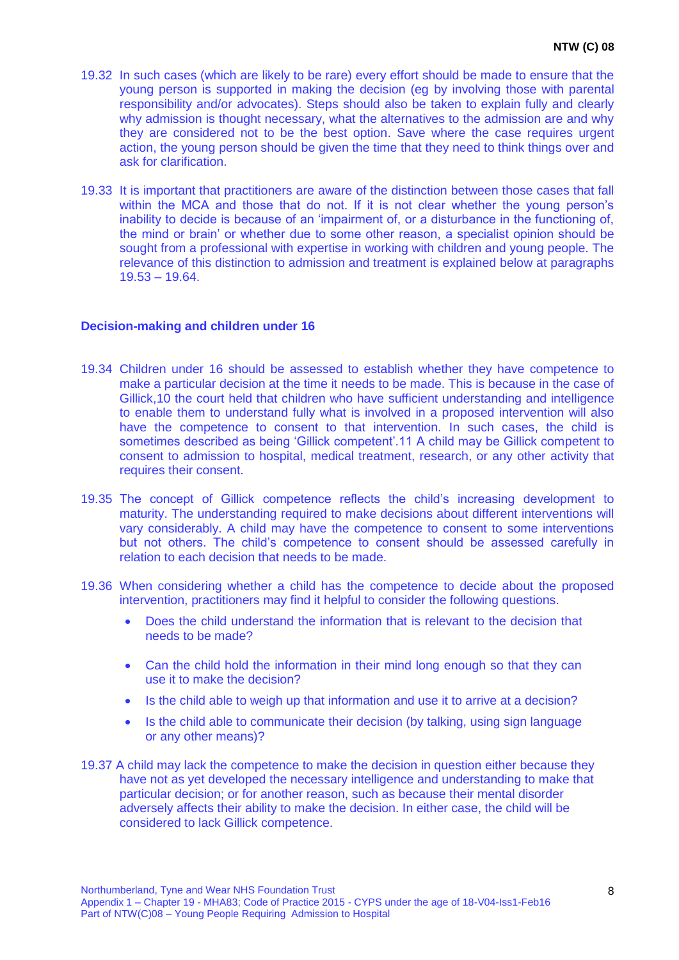- 19.32 In such cases (which are likely to be rare) every effort should be made to ensure that the young person is supported in making the decision (eg by involving those with parental responsibility and/or advocates). Steps should also be taken to explain fully and clearly why admission is thought necessary, what the alternatives to the admission are and why they are considered not to be the best option. Save where the case requires urgent action, the young person should be given the time that they need to think things over and ask for clarification.
- 19.33 It is important that practitioners are aware of the distinction between those cases that fall within the MCA and those that do not. If it is not clear whether the young person's inability to decide is because of an 'impairment of, or a disturbance in the functioning of, the mind or brain' or whether due to some other reason, a specialist opinion should be sought from a professional with expertise in working with children and young people. The relevance of this distinction to admission and treatment is explained below at paragraphs 19.53 – 19.64.

#### **Decision-making and children under 16**

- 19.34 Children under 16 should be assessed to establish whether they have competence to make a particular decision at the time it needs to be made. This is because in the case of Gillick,10 the court held that children who have sufficient understanding and intelligence to enable them to understand fully what is involved in a proposed intervention will also have the competence to consent to that intervention. In such cases, the child is sometimes described as being 'Gillick competent'.11 A child may be Gillick competent to consent to admission to hospital, medical treatment, research, or any other activity that requires their consent.
- 19.35 The concept of Gillick competence reflects the child's increasing development to maturity. The understanding required to make decisions about different interventions will vary considerably. A child may have the competence to consent to some interventions but not others. The child's competence to consent should be assessed carefully in relation to each decision that needs to be made.
- 19.36 When considering whether a child has the competence to decide about the proposed intervention, practitioners may find it helpful to consider the following questions.
	- Does the child understand the information that is relevant to the decision that needs to be made?
	- Can the child hold the information in their mind long enough so that they can use it to make the decision?
	- Is the child able to weigh up that information and use it to arrive at a decision?
	- Is the child able to communicate their decision (by talking, using sign language or any other means)?
- 19.37 A child may lack the competence to make the decision in question either because they have not as yet developed the necessary intelligence and understanding to make that particular decision; or for another reason, such as because their mental disorder adversely affects their ability to make the decision. In either case, the child will be considered to lack Gillick competence.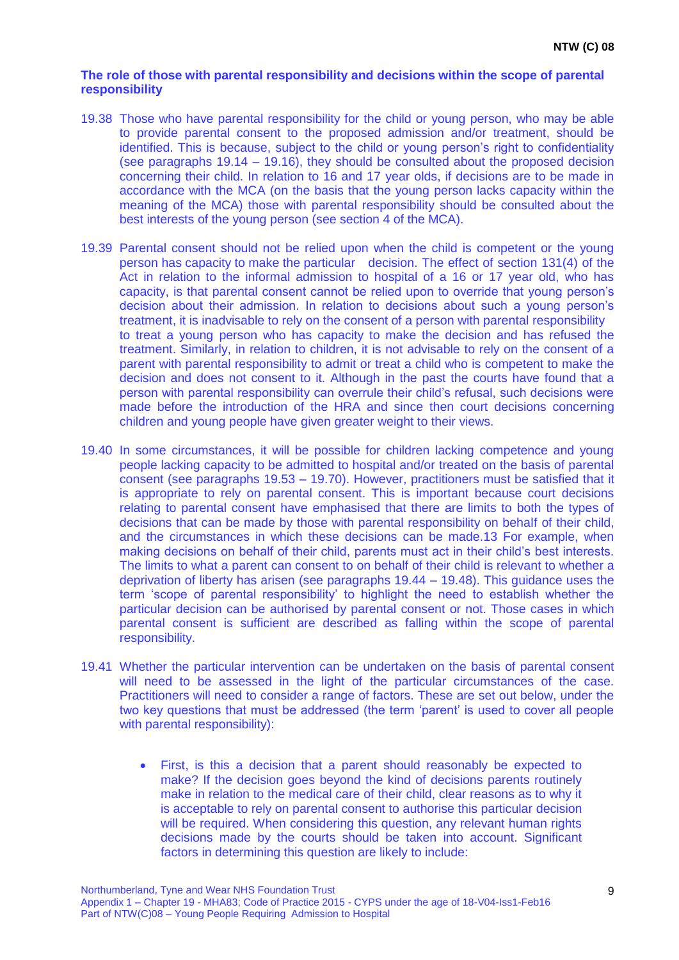# **The role of those with parental responsibility and decisions within the scope of parental responsibility**

- 19.38 Those who have parental responsibility for the child or young person, who may be able to provide parental consent to the proposed admission and/or treatment, should be identified. This is because, subject to the child or young person's right to confidentiality (see paragraphs 19.14 – 19.16), they should be consulted about the proposed decision concerning their child. In relation to 16 and 17 year olds, if decisions are to be made in accordance with the MCA (on the basis that the young person lacks capacity within the meaning of the MCA) those with parental responsibility should be consulted about the best interests of the young person (see section 4 of the MCA).
- 19.39 Parental consent should not be relied upon when the child is competent or the young person has capacity to make the particular decision. The effect of section 131(4) of the Act in relation to the informal admission to hospital of a 16 or 17 year old, who has capacity, is that parental consent cannot be relied upon to override that young person's decision about their admission. In relation to decisions about such a young person's treatment, it is inadvisable to rely on the consent of a person with parental responsibility to treat a young person who has capacity to make the decision and has refused the treatment. Similarly, in relation to children, it is not advisable to rely on the consent of a parent with parental responsibility to admit or treat a child who is competent to make the decision and does not consent to it. Although in the past the courts have found that a person with parental responsibility can overrule their child's refusal, such decisions were made before the introduction of the HRA and since then court decisions concerning children and young people have given greater weight to their views.
- 19.40 In some circumstances, it will be possible for children lacking competence and young people lacking capacity to be admitted to hospital and/or treated on the basis of parental consent (see paragraphs 19.53 – 19.70). However, practitioners must be satisfied that it is appropriate to rely on parental consent. This is important because court decisions relating to parental consent have emphasised that there are limits to both the types of decisions that can be made by those with parental responsibility on behalf of their child, and the circumstances in which these decisions can be made.13 For example, when making decisions on behalf of their child, parents must act in their child's best interests. The limits to what a parent can consent to on behalf of their child is relevant to whether a deprivation of liberty has arisen (see paragraphs 19.44 – 19.48). This guidance uses the term 'scope of parental responsibility' to highlight the need to establish whether the particular decision can be authorised by parental consent or not. Those cases in which parental consent is sufficient are described as falling within the scope of parental responsibility.
- 19.41 Whether the particular intervention can be undertaken on the basis of parental consent will need to be assessed in the light of the particular circumstances of the case. Practitioners will need to consider a range of factors. These are set out below, under the two key questions that must be addressed (the term 'parent' is used to cover all people with parental responsibility):
	- First, is this a decision that a parent should reasonably be expected to make? If the decision goes beyond the kind of decisions parents routinely make in relation to the medical care of their child, clear reasons as to why it is acceptable to rely on parental consent to authorise this particular decision will be required. When considering this question, any relevant human rights decisions made by the courts should be taken into account. Significant factors in determining this question are likely to include: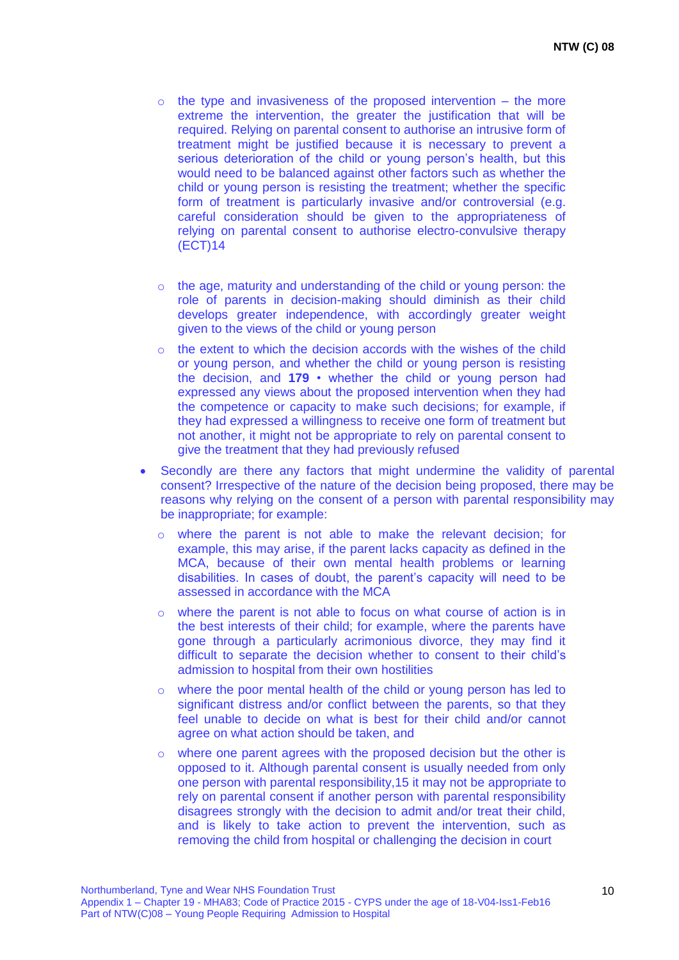- $\circ$  the type and invasiveness of the proposed intervention the more extreme the intervention, the greater the justification that will be required. Relying on parental consent to authorise an intrusive form of treatment might be justified because it is necessary to prevent a serious deterioration of the child or young person's health, but this would need to be balanced against other factors such as whether the child or young person is resisting the treatment; whether the specific form of treatment is particularly invasive and/or controversial (e.g. careful consideration should be given to the appropriateness of relying on parental consent to authorise electro-convulsive therapy (ECT)14
- o the age, maturity and understanding of the child or young person: the role of parents in decision-making should diminish as their child develops greater independence, with accordingly greater weight given to the views of the child or young person
- $\circ$  the extent to which the decision accords with the wishes of the child or young person, and whether the child or young person is resisting the decision, and **179** • whether the child or young person had expressed any views about the proposed intervention when they had the competence or capacity to make such decisions; for example, if they had expressed a willingness to receive one form of treatment but not another, it might not be appropriate to rely on parental consent to give the treatment that they had previously refused
- Secondly are there any factors that might undermine the validity of parental consent? Irrespective of the nature of the decision being proposed, there may be reasons why relying on the consent of a person with parental responsibility may be inappropriate; for example:
	- $\circ$  where the parent is not able to make the relevant decision; for example, this may arise, if the parent lacks capacity as defined in the MCA, because of their own mental health problems or learning disabilities. In cases of doubt, the parent's capacity will need to be assessed in accordance with the MCA
	- $\circ$  where the parent is not able to focus on what course of action is in the best interests of their child; for example, where the parents have gone through a particularly acrimonious divorce, they may find it difficult to separate the decision whether to consent to their child's admission to hospital from their own hostilities
	- o where the poor mental health of the child or young person has led to significant distress and/or conflict between the parents, so that they feel unable to decide on what is best for their child and/or cannot agree on what action should be taken, and
	- o where one parent agrees with the proposed decision but the other is opposed to it. Although parental consent is usually needed from only one person with parental responsibility,15 it may not be appropriate to rely on parental consent if another person with parental responsibility disagrees strongly with the decision to admit and/or treat their child, and is likely to take action to prevent the intervention, such as removing the child from hospital or challenging the decision in court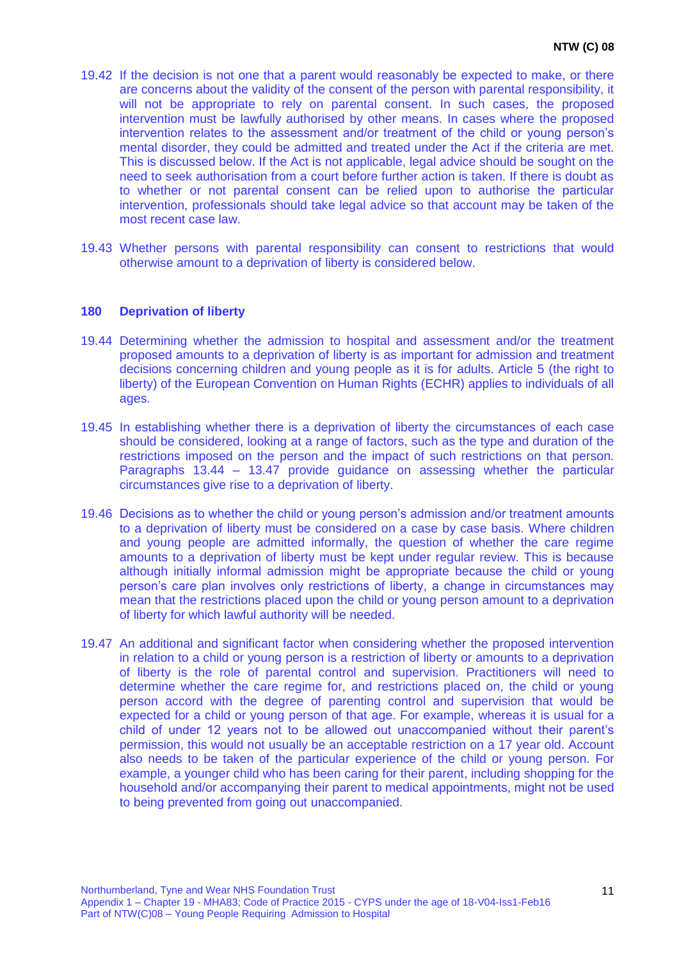- 19.42 If the decision is not one that a parent would reasonably be expected to make, or there are concerns about the validity of the consent of the person with parental responsibility, it will not be appropriate to rely on parental consent. In such cases, the proposed intervention must be lawfully authorised by other means. In cases where the proposed intervention relates to the assessment and/or treatment of the child or young person's mental disorder, they could be admitted and treated under the Act if the criteria are met. This is discussed below. If the Act is not applicable, legal advice should be sought on the need to seek authorisation from a court before further action is taken. If there is doubt as to whether or not parental consent can be relied upon to authorise the particular intervention, professionals should take legal advice so that account may be taken of the most recent case law.
- 19.43 Whether persons with parental responsibility can consent to restrictions that would otherwise amount to a deprivation of liberty is considered below.

#### **180 Deprivation of liberty**

- 19.44 Determining whether the admission to hospital and assessment and/or the treatment proposed amounts to a deprivation of liberty is as important for admission and treatment decisions concerning children and young people as it is for adults. Article 5 (the right to liberty) of the European Convention on Human Rights (ECHR) applies to individuals of all ages.
- 19.45 In establishing whether there is a deprivation of liberty the circumstances of each case should be considered, looking at a range of factors, such as the type and duration of the restrictions imposed on the person and the impact of such restrictions on that person. Paragraphs 13.44 – 13.47 provide guidance on assessing whether the particular circumstances give rise to a deprivation of liberty.
- 19.46 Decisions as to whether the child or young person's admission and/or treatment amounts to a deprivation of liberty must be considered on a case by case basis. Where children and young people are admitted informally, the question of whether the care regime amounts to a deprivation of liberty must be kept under regular review. This is because although initially informal admission might be appropriate because the child or young person's care plan involves only restrictions of liberty, a change in circumstances may mean that the restrictions placed upon the child or young person amount to a deprivation of liberty for which lawful authority will be needed.
- 19.47 An additional and significant factor when considering whether the proposed intervention in relation to a child or young person is a restriction of liberty or amounts to a deprivation of liberty is the role of parental control and supervision. Practitioners will need to determine whether the care regime for, and restrictions placed on, the child or young person accord with the degree of parenting control and supervision that would be expected for a child or young person of that age. For example, whereas it is usual for a child of under 12 years not to be allowed out unaccompanied without their parent's permission, this would not usually be an acceptable restriction on a 17 year old. Account also needs to be taken of the particular experience of the child or young person. For example, a younger child who has been caring for their parent, including shopping for the household and/or accompanying their parent to medical appointments, might not be used to being prevented from going out unaccompanied.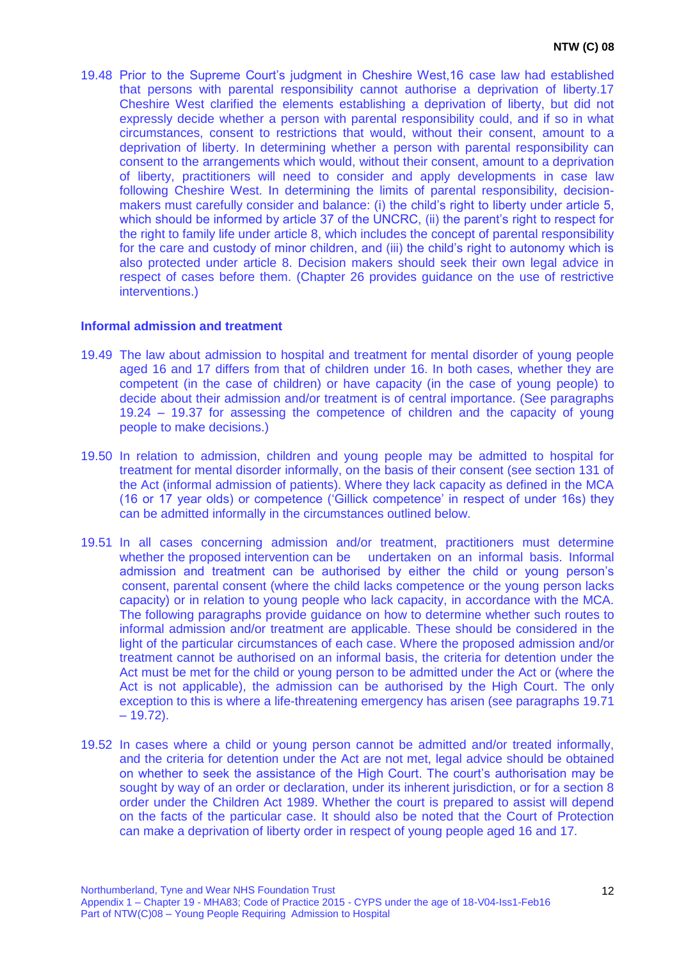19.48 Prior to the Supreme Court's judgment in Cheshire West,16 case law had established that persons with parental responsibility cannot authorise a deprivation of liberty.17 Cheshire West clarified the elements establishing a deprivation of liberty, but did not expressly decide whether a person with parental responsibility could, and if so in what circumstances, consent to restrictions that would, without their consent, amount to a deprivation of liberty. In determining whether a person with parental responsibility can consent to the arrangements which would, without their consent, amount to a deprivation of liberty, practitioners will need to consider and apply developments in case law following Cheshire West. In determining the limits of parental responsibility, decisionmakers must carefully consider and balance: (i) the child's right to liberty under article 5, which should be informed by article 37 of the UNCRC, (ii) the parent's right to respect for the right to family life under article 8, which includes the concept of parental responsibility for the care and custody of minor children, and (iii) the child's right to autonomy which is also protected under article 8. Decision makers should seek their own legal advice in respect of cases before them. (Chapter 26 provides guidance on the use of restrictive interventions.)

#### **Informal admission and treatment**

- 19.49 The law about admission to hospital and treatment for mental disorder of young people aged 16 and 17 differs from that of children under 16. In both cases, whether they are competent (in the case of children) or have capacity (in the case of young people) to decide about their admission and/or treatment is of central importance. (See paragraphs 19.24 – 19.37 for assessing the competence of children and the capacity of young people to make decisions.)
- 19.50 In relation to admission, children and young people may be admitted to hospital for treatment for mental disorder informally, on the basis of their consent (see section 131 of the Act (informal admission of patients). Where they lack capacity as defined in the MCA (16 or 17 year olds) or competence ('Gillick competence' in respect of under 16s) they can be admitted informally in the circumstances outlined below.
- 19.51 In all cases concerning admission and/or treatment, practitioners must determine whether the proposed intervention can be undertaken on an informal basis. Informal admission and treatment can be authorised by either the child or young person's consent, parental consent (where the child lacks competence or the young person lacks capacity) or in relation to young people who lack capacity, in accordance with the MCA. The following paragraphs provide guidance on how to determine whether such routes to informal admission and/or treatment are applicable. These should be considered in the light of the particular circumstances of each case. Where the proposed admission and/or treatment cannot be authorised on an informal basis, the criteria for detention under the Act must be met for the child or young person to be admitted under the Act or (where the Act is not applicable), the admission can be authorised by the High Court. The only exception to this is where a life-threatening emergency has arisen (see paragraphs 19.71  $-19.72$ ).
- 19.52 In cases where a child or young person cannot be admitted and/or treated informally, and the criteria for detention under the Act are not met, legal advice should be obtained on whether to seek the assistance of the High Court. The court's authorisation may be sought by way of an order or declaration, under its inherent jurisdiction, or for a section 8 order under the Children Act 1989. Whether the court is prepared to assist will depend on the facts of the particular case. It should also be noted that the Court of Protection can make a deprivation of liberty order in respect of young people aged 16 and 17.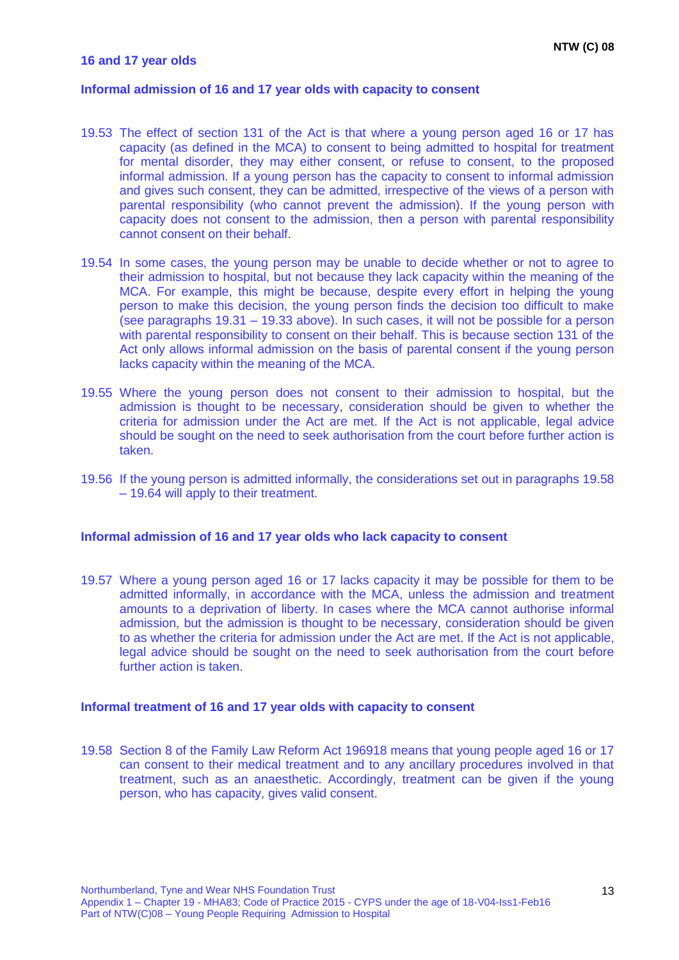#### **16 and 17 year olds**

#### **Informal admission of 16 and 17 year olds with capacity to consent**

- 19.53 The effect of section 131 of the Act is that where a young person aged 16 or 17 has capacity (as defined in the MCA) to consent to being admitted to hospital for treatment for mental disorder, they may either consent, or refuse to consent, to the proposed informal admission. If a young person has the capacity to consent to informal admission and gives such consent, they can be admitted, irrespective of the views of a person with parental responsibility (who cannot prevent the admission). If the young person with capacity does not consent to the admission, then a person with parental responsibility cannot consent on their behalf.
- 19.54 In some cases, the young person may be unable to decide whether or not to agree to their admission to hospital, but not because they lack capacity within the meaning of the MCA. For example, this might be because, despite every effort in helping the young person to make this decision, the young person finds the decision too difficult to make (see paragraphs 19.31 – 19.33 above). In such cases, it will not be possible for a person with parental responsibility to consent on their behalf. This is because section 131 of the Act only allows informal admission on the basis of parental consent if the young person lacks capacity within the meaning of the MCA.
- 19.55 Where the young person does not consent to their admission to hospital, but the admission is thought to be necessary, consideration should be given to whether the criteria for admission under the Act are met. If the Act is not applicable, legal advice should be sought on the need to seek authorisation from the court before further action is taken.
- 19.56 If the young person is admitted informally, the considerations set out in paragraphs 19.58 – 19.64 will apply to their treatment.

#### **Informal admission of 16 and 17 year olds who lack capacity to consent**

19.57 Where a young person aged 16 or 17 lacks capacity it may be possible for them to be admitted informally, in accordance with the MCA, unless the admission and treatment amounts to a deprivation of liberty. In cases where the MCA cannot authorise informal admission, but the admission is thought to be necessary, consideration should be given to as whether the criteria for admission under the Act are met. If the Act is not applicable, legal advice should be sought on the need to seek authorisation from the court before further action is taken.

#### **Informal treatment of 16 and 17 year olds with capacity to consent**

19.58 Section 8 of the Family Law Reform Act 196918 means that young people aged 16 or 17 can consent to their medical treatment and to any ancillary procedures involved in that treatment, such as an anaesthetic. Accordingly, treatment can be given if the young person, who has capacity, gives valid consent.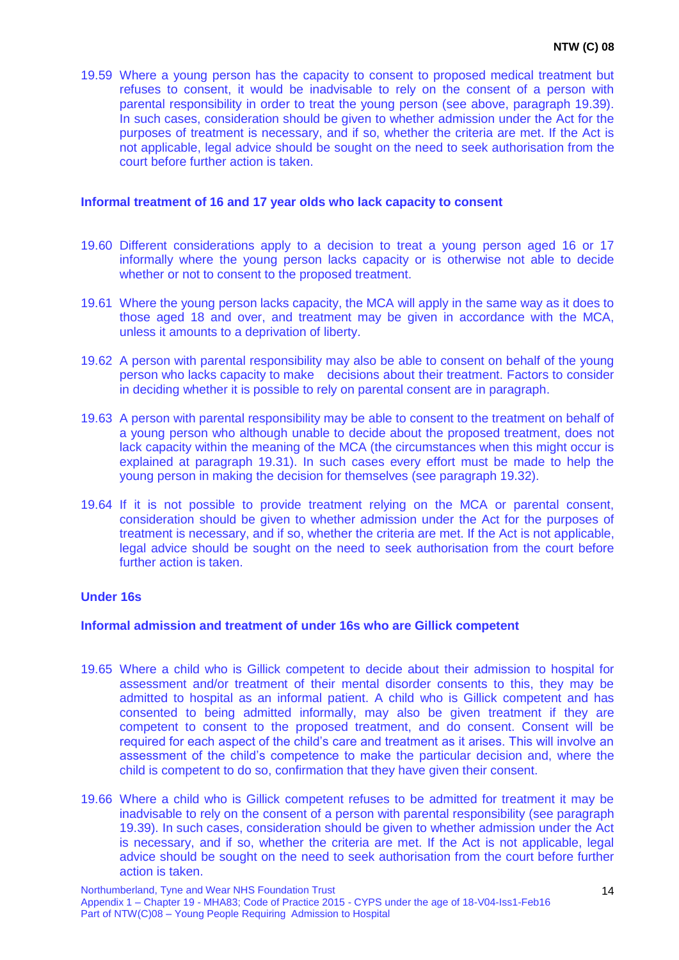19.59 Where a young person has the capacity to consent to proposed medical treatment but refuses to consent, it would be inadvisable to rely on the consent of a person with parental responsibility in order to treat the young person (see above, paragraph 19.39). In such cases, consideration should be given to whether admission under the Act for the purposes of treatment is necessary, and if so, whether the criteria are met. If the Act is not applicable, legal advice should be sought on the need to seek authorisation from the court before further action is taken.

#### **Informal treatment of 16 and 17 year olds who lack capacity to consent**

- 19.60 Different considerations apply to a decision to treat a young person aged 16 or 17 informally where the young person lacks capacity or is otherwise not able to decide whether or not to consent to the proposed treatment.
- 19.61 Where the young person lacks capacity, the MCA will apply in the same way as it does to those aged 18 and over, and treatment may be given in accordance with the MCA, unless it amounts to a deprivation of liberty.
- 19.62 A person with parental responsibility may also be able to consent on behalf of the young person who lacks capacity to make decisions about their treatment. Factors to consider in deciding whether it is possible to rely on parental consent are in paragraph.
- 19.63 A person with parental responsibility may be able to consent to the treatment on behalf of a young person who although unable to decide about the proposed treatment, does not lack capacity within the meaning of the MCA (the circumstances when this might occur is explained at paragraph 19.31). In such cases every effort must be made to help the young person in making the decision for themselves (see paragraph 19.32).
- 19.64 If it is not possible to provide treatment relying on the MCA or parental consent, consideration should be given to whether admission under the Act for the purposes of treatment is necessary, and if so, whether the criteria are met. If the Act is not applicable, legal advice should be sought on the need to seek authorisation from the court before further action is taken.

# **Under 16s**

#### **Informal admission and treatment of under 16s who are Gillick competent**

- 19.65 Where a child who is Gillick competent to decide about their admission to hospital for assessment and/or treatment of their mental disorder consents to this, they may be admitted to hospital as an informal patient. A child who is Gillick competent and has consented to being admitted informally, may also be given treatment if they are competent to consent to the proposed treatment, and do consent. Consent will be required for each aspect of the child's care and treatment as it arises. This will involve an assessment of the child's competence to make the particular decision and, where the child is competent to do so, confirmation that they have given their consent.
- 19.66 Where a child who is Gillick competent refuses to be admitted for treatment it may be inadvisable to rely on the consent of a person with parental responsibility (see paragraph 19.39). In such cases, consideration should be given to whether admission under the Act is necessary, and if so, whether the criteria are met. If the Act is not applicable, legal advice should be sought on the need to seek authorisation from the court before further action is taken.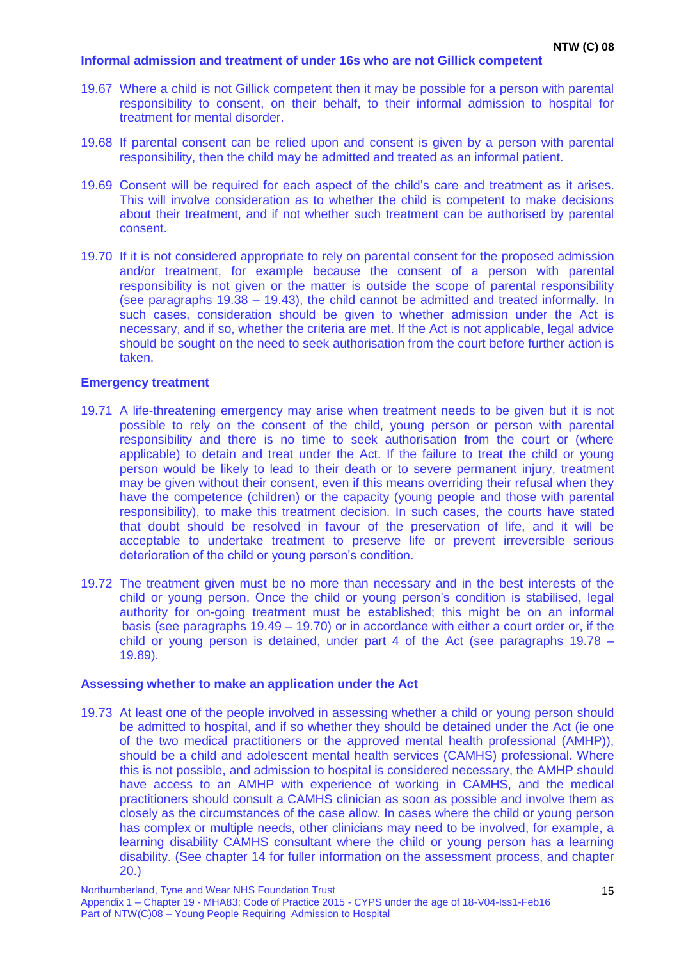#### **Informal admission and treatment of under 16s who are not Gillick competent**

- 19.67 Where a child is not Gillick competent then it may be possible for a person with parental responsibility to consent, on their behalf, to their informal admission to hospital for treatment for mental disorder.
- 19.68 If parental consent can be relied upon and consent is given by a person with parental responsibility, then the child may be admitted and treated as an informal patient.
- 19.69 Consent will be required for each aspect of the child's care and treatment as it arises. This will involve consideration as to whether the child is competent to make decisions about their treatment, and if not whether such treatment can be authorised by parental consent.
- 19.70 If it is not considered appropriate to rely on parental consent for the proposed admission and/or treatment, for example because the consent of a person with parental responsibility is not given or the matter is outside the scope of parental responsibility (see paragraphs 19.38 – 19.43), the child cannot be admitted and treated informally. In such cases, consideration should be given to whether admission under the Act is necessary, and if so, whether the criteria are met. If the Act is not applicable, legal advice should be sought on the need to seek authorisation from the court before further action is taken.

#### **Emergency treatment**

- 19.71 A life-threatening emergency may arise when treatment needs to be given but it is not possible to rely on the consent of the child, young person or person with parental responsibility and there is no time to seek authorisation from the court or (where applicable) to detain and treat under the Act. If the failure to treat the child or young person would be likely to lead to their death or to severe permanent injury, treatment may be given without their consent, even if this means overriding their refusal when they have the competence (children) or the capacity (young people and those with parental responsibility), to make this treatment decision. In such cases, the courts have stated that doubt should be resolved in favour of the preservation of life, and it will be acceptable to undertake treatment to preserve life or prevent irreversible serious deterioration of the child or young person's condition.
- 19.72 The treatment given must be no more than necessary and in the best interests of the child or young person. Once the child or young person's condition is stabilised, legal authority for on-going treatment must be established; this might be on an informal basis (see paragraphs 19.49 – 19.70) or in accordance with either a court order or, if the child or young person is detained, under part 4 of the Act (see paragraphs 19.78 – 19.89).

#### **Assessing whether to make an application under the Act**

19.73 At least one of the people involved in assessing whether a child or young person should be admitted to hospital, and if so whether they should be detained under the Act (ie one of the two medical practitioners or the approved mental health professional (AMHP)), should be a child and adolescent mental health services (CAMHS) professional. Where this is not possible, and admission to hospital is considered necessary, the AMHP should have access to an AMHP with experience of working in CAMHS, and the medical practitioners should consult a CAMHS clinician as soon as possible and involve them as closely as the circumstances of the case allow. In cases where the child or young person has complex or multiple needs, other clinicians may need to be involved, for example, a learning disability CAMHS consultant where the child or young person has a learning disability. (See chapter 14 for fuller information on the assessment process, and chapter 20.)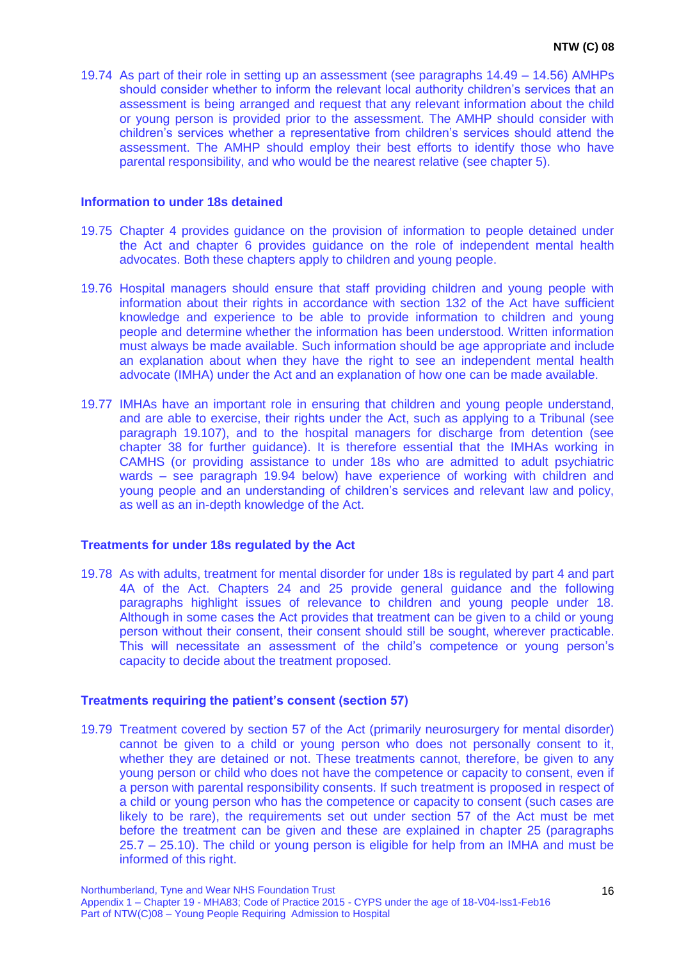19.74 As part of their role in setting up an assessment (see paragraphs 14.49 – 14.56) AMHPs should consider whether to inform the relevant local authority children's services that an assessment is being arranged and request that any relevant information about the child or young person is provided prior to the assessment. The AMHP should consider with children's services whether a representative from children's services should attend the assessment. The AMHP should employ their best efforts to identify those who have parental responsibility, and who would be the nearest relative (see chapter 5).

#### **Information to under 18s detained**

- 19.75 Chapter 4 provides guidance on the provision of information to people detained under the Act and chapter 6 provides guidance on the role of independent mental health advocates. Both these chapters apply to children and young people.
- 19.76 Hospital managers should ensure that staff providing children and young people with information about their rights in accordance with section 132 of the Act have sufficient knowledge and experience to be able to provide information to children and young people and determine whether the information has been understood. Written information must always be made available. Such information should be age appropriate and include an explanation about when they have the right to see an independent mental health advocate (IMHA) under the Act and an explanation of how one can be made available.
- 19.77 IMHAs have an important role in ensuring that children and young people understand, and are able to exercise, their rights under the Act, such as applying to a Tribunal (see paragraph 19.107), and to the hospital managers for discharge from detention (see chapter 38 for further guidance). It is therefore essential that the IMHAs working in CAMHS (or providing assistance to under 18s who are admitted to adult psychiatric wards – see paragraph 19.94 below) have experience of working with children and young people and an understanding of children's services and relevant law and policy, as well as an in-depth knowledge of the Act.

#### **Treatments for under 18s regulated by the Act**

19.78 As with adults, treatment for mental disorder for under 18s is regulated by part 4 and part 4A of the Act. Chapters 24 and 25 provide general guidance and the following paragraphs highlight issues of relevance to children and young people under 18. Although in some cases the Act provides that treatment can be given to a child or young person without their consent, their consent should still be sought, wherever practicable. This will necessitate an assessment of the child's competence or young person's capacity to decide about the treatment proposed.

#### **Treatments requiring the patient's consent (section 57)**

19.79 Treatment covered by section 57 of the Act (primarily neurosurgery for mental disorder) cannot be given to a child or young person who does not personally consent to it, whether they are detained or not. These treatments cannot, therefore, be given to any young person or child who does not have the competence or capacity to consent, even if a person with parental responsibility consents. If such treatment is proposed in respect of a child or young person who has the competence or capacity to consent (such cases are likely to be rare), the requirements set out under section 57 of the Act must be met before the treatment can be given and these are explained in chapter 25 (paragraphs 25.7 – 25.10). The child or young person is eligible for help from an IMHA and must be informed of this right.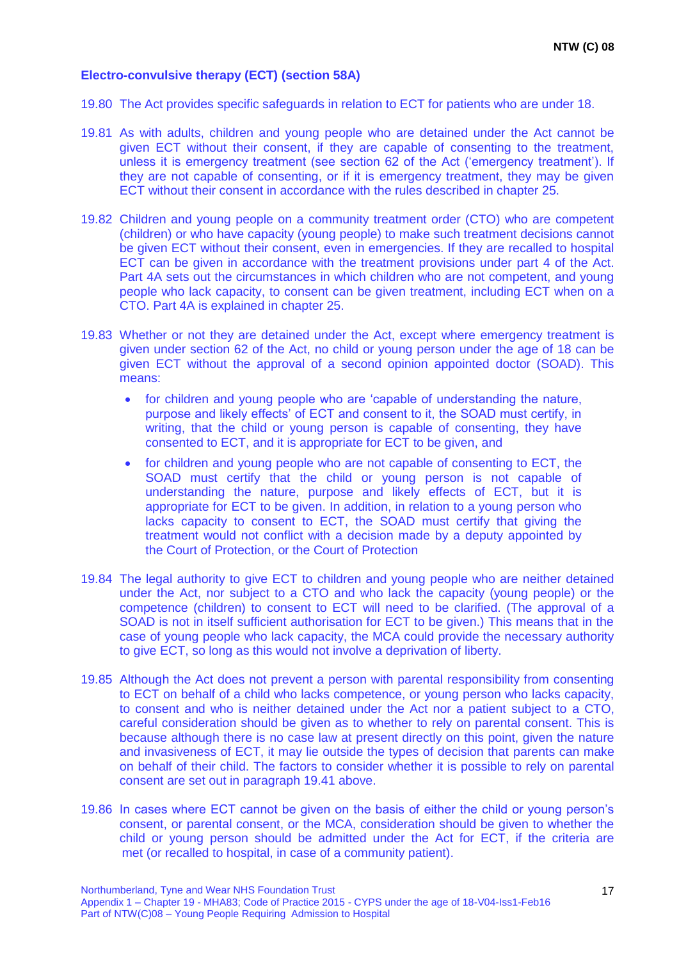# **Electro-convulsive therapy (ECT) (section 58A)**

- 19.80 The Act provides specific safeguards in relation to ECT for patients who are under 18.
- 19.81 As with adults, children and young people who are detained under the Act cannot be given ECT without their consent, if they are capable of consenting to the treatment, unless it is emergency treatment (see section 62 of the Act ('emergency treatment'). If they are not capable of consenting, or if it is emergency treatment, they may be given ECT without their consent in accordance with the rules described in chapter 25.
- 19.82 Children and young people on a community treatment order (CTO) who are competent (children) or who have capacity (young people) to make such treatment decisions cannot be given ECT without their consent, even in emergencies. If they are recalled to hospital ECT can be given in accordance with the treatment provisions under part 4 of the Act. Part 4A sets out the circumstances in which children who are not competent, and young people who lack capacity, to consent can be given treatment, including ECT when on a CTO. Part 4A is explained in chapter 25.
- 19.83 Whether or not they are detained under the Act, except where emergency treatment is given under section 62 of the Act, no child or young person under the age of 18 can be given ECT without the approval of a second opinion appointed doctor (SOAD). This means:
	- for children and young people who are 'capable of understanding the nature, purpose and likely effects' of ECT and consent to it, the SOAD must certify, in writing, that the child or young person is capable of consenting, they have consented to ECT, and it is appropriate for ECT to be given, and
	- for children and young people who are not capable of consenting to ECT, the SOAD must certify that the child or young person is not capable of understanding the nature, purpose and likely effects of ECT, but it is appropriate for ECT to be given. In addition, in relation to a young person who lacks capacity to consent to ECT, the SOAD must certify that giving the treatment would not conflict with a decision made by a deputy appointed by the Court of Protection, or the Court of Protection
- 19.84 The legal authority to give ECT to children and young people who are neither detained under the Act, nor subject to a CTO and who lack the capacity (young people) or the competence (children) to consent to ECT will need to be clarified. (The approval of a SOAD is not in itself sufficient authorisation for ECT to be given.) This means that in the case of young people who lack capacity, the MCA could provide the necessary authority to give ECT, so long as this would not involve a deprivation of liberty.
- 19.85 Although the Act does not prevent a person with parental responsibility from consenting to ECT on behalf of a child who lacks competence, or young person who lacks capacity, to consent and who is neither detained under the Act nor a patient subject to a CTO, careful consideration should be given as to whether to rely on parental consent. This is because although there is no case law at present directly on this point, given the nature and invasiveness of ECT, it may lie outside the types of decision that parents can make on behalf of their child. The factors to consider whether it is possible to rely on parental consent are set out in paragraph 19.41 above.
- 19.86 In cases where ECT cannot be given on the basis of either the child or young person's consent, or parental consent, or the MCA, consideration should be given to whether the child or young person should be admitted under the Act for ECT, if the criteria are met (or recalled to hospital, in case of a community patient).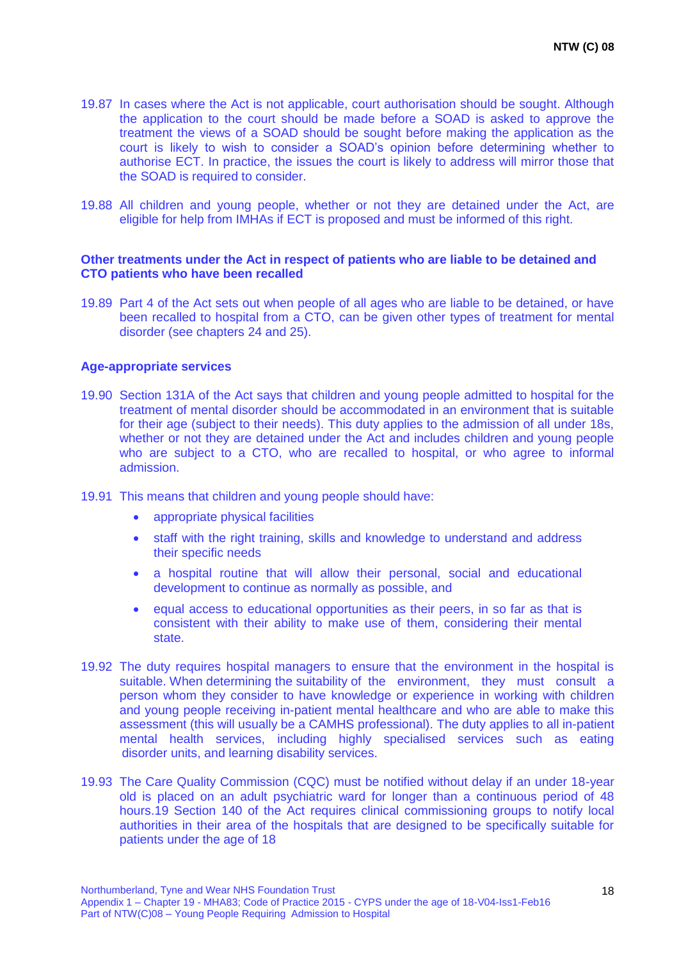- 19.87 In cases where the Act is not applicable, court authorisation should be sought. Although the application to the court should be made before a SOAD is asked to approve the treatment the views of a SOAD should be sought before making the application as the court is likely to wish to consider a SOAD's opinion before determining whether to authorise ECT. In practice, the issues the court is likely to address will mirror those that the SOAD is required to consider.
- 19.88 All children and young people, whether or not they are detained under the Act, are eligible for help from IMHAs if ECT is proposed and must be informed of this right.

#### **Other treatments under the Act in respect of patients who are liable to be detained and CTO patients who have been recalled**

19.89 Part 4 of the Act sets out when people of all ages who are liable to be detained, or have been recalled to hospital from a CTO, can be given other types of treatment for mental disorder (see chapters 24 and 25).

#### **Age-appropriate services**

- 19.90 Section 131A of the Act says that children and young people admitted to hospital for the treatment of mental disorder should be accommodated in an environment that is suitable for their age (subject to their needs). This duty applies to the admission of all under 18s, whether or not they are detained under the Act and includes children and young people who are subject to a CTO, who are recalled to hospital, or who agree to informal admission.
- 19.91 This means that children and young people should have:
	- appropriate physical facilities
	- staff with the right training, skills and knowledge to understand and address their specific needs
	- a hospital routine that will allow their personal, social and educational development to continue as normally as possible, and
	- equal access to educational opportunities as their peers, in so far as that is consistent with their ability to make use of them, considering their mental state.
- 19.92 The duty requires hospital managers to ensure that the environment in the hospital is suitable. When determining the suitability of the environment, they must consult a person whom they consider to have knowledge or experience in working with children and young people receiving in-patient mental healthcare and who are able to make this assessment (this will usually be a CAMHS professional). The duty applies to all in-patient mental health services, including highly specialised services such as eating disorder units, and learning disability services.
- 19.93 The Care Quality Commission (CQC) must be notified without delay if an under 18-year old is placed on an adult psychiatric ward for longer than a continuous period of 48 hours.19 Section 140 of the Act requires clinical commissioning groups to notify local authorities in their area of the hospitals that are designed to be specifically suitable for patients under the age of 18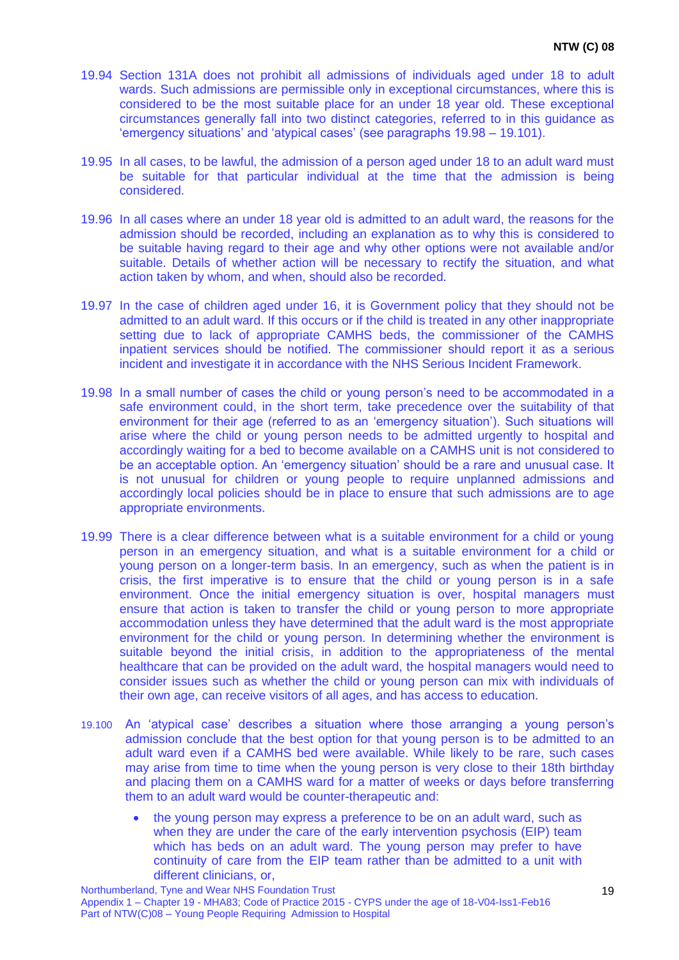- 19.94 Section 131A does not prohibit all admissions of individuals aged under 18 to adult wards. Such admissions are permissible only in exceptional circumstances, where this is considered to be the most suitable place for an under 18 year old. These exceptional circumstances generally fall into two distinct categories, referred to in this guidance as 'emergency situations' and 'atypical cases' (see paragraphs 19.98 – 19.101).
- 19.95 In all cases, to be lawful, the admission of a person aged under 18 to an adult ward must be suitable for that particular individual at the time that the admission is being considered.
- 19.96 In all cases where an under 18 year old is admitted to an adult ward, the reasons for the admission should be recorded, including an explanation as to why this is considered to be suitable having regard to their age and why other options were not available and/or suitable. Details of whether action will be necessary to rectify the situation, and what action taken by whom, and when, should also be recorded.
- 19.97 In the case of children aged under 16, it is Government policy that they should not be admitted to an adult ward. If this occurs or if the child is treated in any other inappropriate setting due to lack of appropriate CAMHS beds, the commissioner of the CAMHS inpatient services should be notified. The commissioner should report it as a serious incident and investigate it in accordance with the NHS Serious Incident Framework.
- 19.98 In a small number of cases the child or young person's need to be accommodated in a safe environment could, in the short term, take precedence over the suitability of that environment for their age (referred to as an 'emergency situation'). Such situations will arise where the child or young person needs to be admitted urgently to hospital and accordingly waiting for a bed to become available on a CAMHS unit is not considered to be an acceptable option. An 'emergency situation' should be a rare and unusual case. It is not unusual for children or young people to require unplanned admissions and accordingly local policies should be in place to ensure that such admissions are to age appropriate environments.
- 19.99 There is a clear difference between what is a suitable environment for a child or young person in an emergency situation, and what is a suitable environment for a child or young person on a longer-term basis. In an emergency, such as when the patient is in crisis, the first imperative is to ensure that the child or young person is in a safe environment. Once the initial emergency situation is over, hospital managers must ensure that action is taken to transfer the child or young person to more appropriate accommodation unless they have determined that the adult ward is the most appropriate environment for the child or young person. In determining whether the environment is suitable beyond the initial crisis, in addition to the appropriateness of the mental healthcare that can be provided on the adult ward, the hospital managers would need to consider issues such as whether the child or young person can mix with individuals of their own age, can receive visitors of all ages, and has access to education.
- 19.100 An 'atypical case' describes a situation where those arranging a young person's admission conclude that the best option for that young person is to be admitted to an adult ward even if a CAMHS bed were available. While likely to be rare, such cases may arise from time to time when the young person is very close to their 18th birthday and placing them on a CAMHS ward for a matter of weeks or days before transferring them to an adult ward would be counter-therapeutic and:
	- the young person may express a preference to be on an adult ward, such as when they are under the care of the early intervention psychosis (EIP) team which has beds on an adult ward. The young person may prefer to have continuity of care from the EIP team rather than be admitted to a unit with different clinicians, or,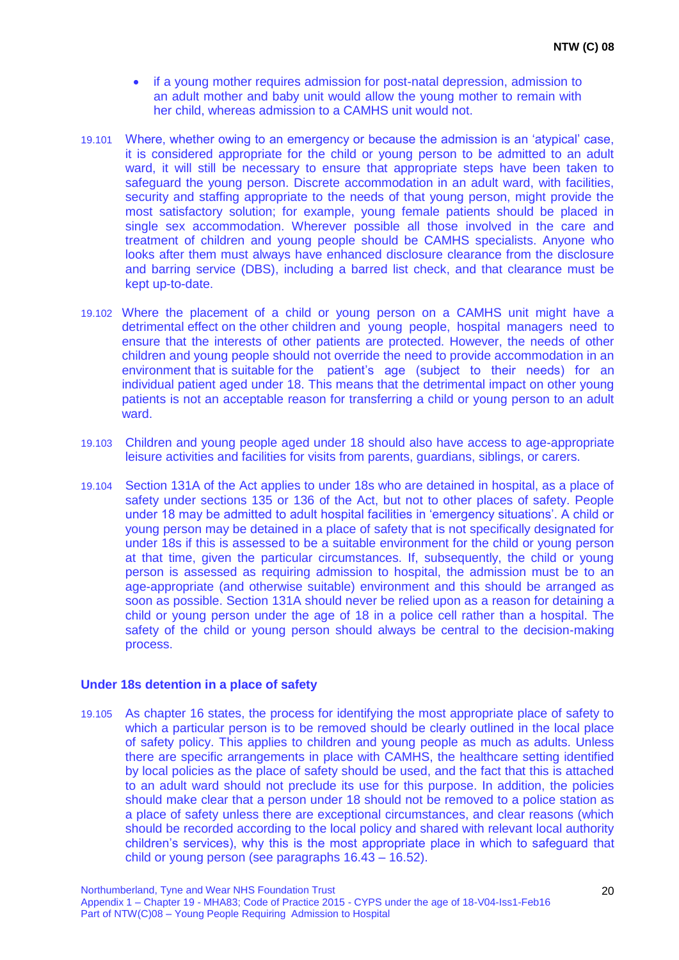- if a young mother requires admission for post-natal depression, admission to an adult mother and baby unit would allow the young mother to remain with her child, whereas admission to a CAMHS unit would not.
- 19.101 Where, whether owing to an emergency or because the admission is an 'atypical' case, it is considered appropriate for the child or young person to be admitted to an adult ward, it will still be necessary to ensure that appropriate steps have been taken to safeguard the young person. Discrete accommodation in an adult ward, with facilities, security and staffing appropriate to the needs of that young person, might provide the most satisfactory solution; for example, young female patients should be placed in single sex accommodation. Wherever possible all those involved in the care and treatment of children and young people should be CAMHS specialists. Anyone who looks after them must always have enhanced disclosure clearance from the disclosure and barring service (DBS), including a barred list check, and that clearance must be kept up-to-date.
- 19.102 Where the placement of a child or young person on a CAMHS unit might have a detrimental effect on the other children and young people, hospital managers need to ensure that the interests of other patients are protected. However, the needs of other children and young people should not override the need to provide accommodation in an environment that is suitable for the patient's age (subject to their needs) for an individual patient aged under 18. This means that the detrimental impact on other young patients is not an acceptable reason for transferring a child or young person to an adult ward.
- 19.103 Children and young people aged under 18 should also have access to age-appropriate leisure activities and facilities for visits from parents, guardians, siblings, or carers.
- 19.104 Section 131A of the Act applies to under 18s who are detained in hospital, as a place of safety under sections 135 or 136 of the Act, but not to other places of safety. People under 18 may be admitted to adult hospital facilities in 'emergency situations'. A child or young person may be detained in a place of safety that is not specifically designated for under 18s if this is assessed to be a suitable environment for the child or young person at that time, given the particular circumstances. If, subsequently, the child or young person is assessed as requiring admission to hospital, the admission must be to an age-appropriate (and otherwise suitable) environment and this should be arranged as soon as possible. Section 131A should never be relied upon as a reason for detaining a child or young person under the age of 18 in a police cell rather than a hospital. The safety of the child or young person should always be central to the decision-making process.

#### **Under 18s detention in a place of safety**

19.105 As chapter 16 states, the process for identifying the most appropriate place of safety to which a particular person is to be removed should be clearly outlined in the local place of safety policy. This applies to children and young people as much as adults. Unless there are specific arrangements in place with CAMHS, the healthcare setting identified by local policies as the place of safety should be used, and the fact that this is attached to an adult ward should not preclude its use for this purpose. In addition, the policies should make clear that a person under 18 should not be removed to a police station as a place of safety unless there are exceptional circumstances, and clear reasons (which should be recorded according to the local policy and shared with relevant local authority children's services), why this is the most appropriate place in which to safeguard that child or young person (see paragraphs 16.43 – 16.52).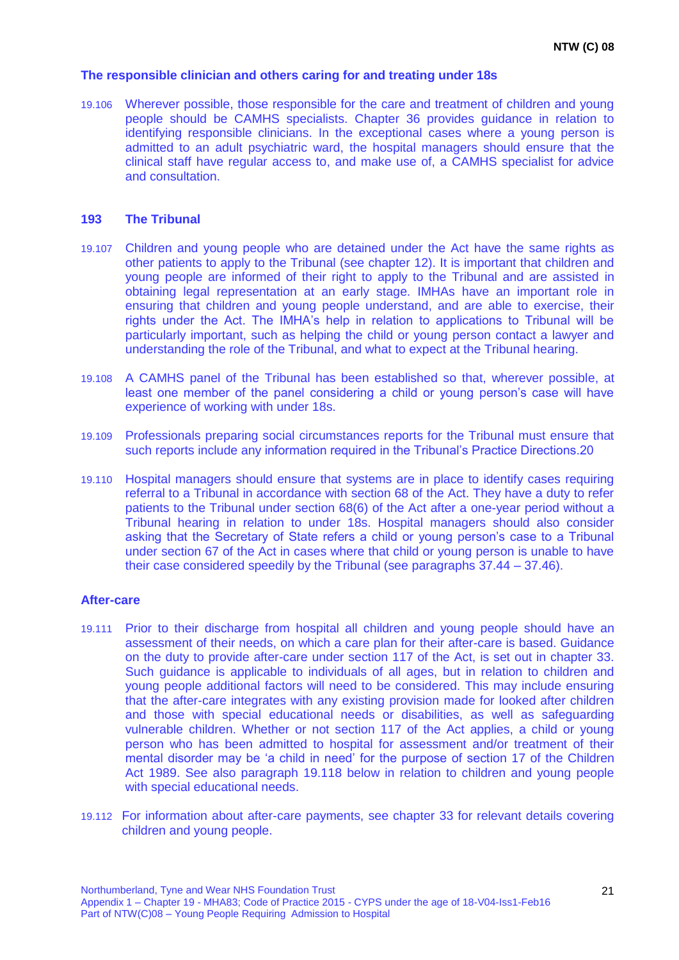#### **The responsible clinician and others caring for and treating under 18s**

19.106 Wherever possible, those responsible for the care and treatment of children and young people should be CAMHS specialists. Chapter 36 provides guidance in relation to identifying responsible clinicians. In the exceptional cases where a young person is admitted to an adult psychiatric ward, the hospital managers should ensure that the clinical staff have regular access to, and make use of, a CAMHS specialist for advice and consultation.

# **193 The Tribunal**

- 19.107 Children and young people who are detained under the Act have the same rights as other patients to apply to the Tribunal (see chapter 12). It is important that children and young people are informed of their right to apply to the Tribunal and are assisted in obtaining legal representation at an early stage. IMHAs have an important role in ensuring that children and young people understand, and are able to exercise, their rights under the Act. The IMHA's help in relation to applications to Tribunal will be particularly important, such as helping the child or young person contact a lawyer and understanding the role of the Tribunal, and what to expect at the Tribunal hearing.
- 19.108 A CAMHS panel of the Tribunal has been established so that, wherever possible, at least one member of the panel considering a child or young person's case will have experience of working with under 18s.
- 19.109 Professionals preparing social circumstances reports for the Tribunal must ensure that such reports include any information required in the Tribunal's Practice Directions.20
- 19.110 Hospital managers should ensure that systems are in place to identify cases requiring referral to a Tribunal in accordance with section 68 of the Act. They have a duty to refer patients to the Tribunal under section 68(6) of the Act after a one-year period without a Tribunal hearing in relation to under 18s. Hospital managers should also consider asking that the Secretary of State refers a child or young person's case to a Tribunal under section 67 of the Act in cases where that child or young person is unable to have their case considered speedily by the Tribunal (see paragraphs 37.44 – 37.46).

#### **After-care**

- 19.111 Prior to their discharge from hospital all children and young people should have an assessment of their needs, on which a care plan for their after-care is based. Guidance on the duty to provide after-care under section 117 of the Act, is set out in chapter 33. Such guidance is applicable to individuals of all ages, but in relation to children and young people additional factors will need to be considered. This may include ensuring that the after-care integrates with any existing provision made for looked after children and those with special educational needs or disabilities, as well as safeguarding vulnerable children. Whether or not section 117 of the Act applies, a child or young person who has been admitted to hospital for assessment and/or treatment of their mental disorder may be 'a child in need' for the purpose of section 17 of the Children Act 1989. See also paragraph 19.118 below in relation to children and young people with special educational needs.
- 19.112 For information about after-care payments, see chapter 33 for relevant details covering children and young people.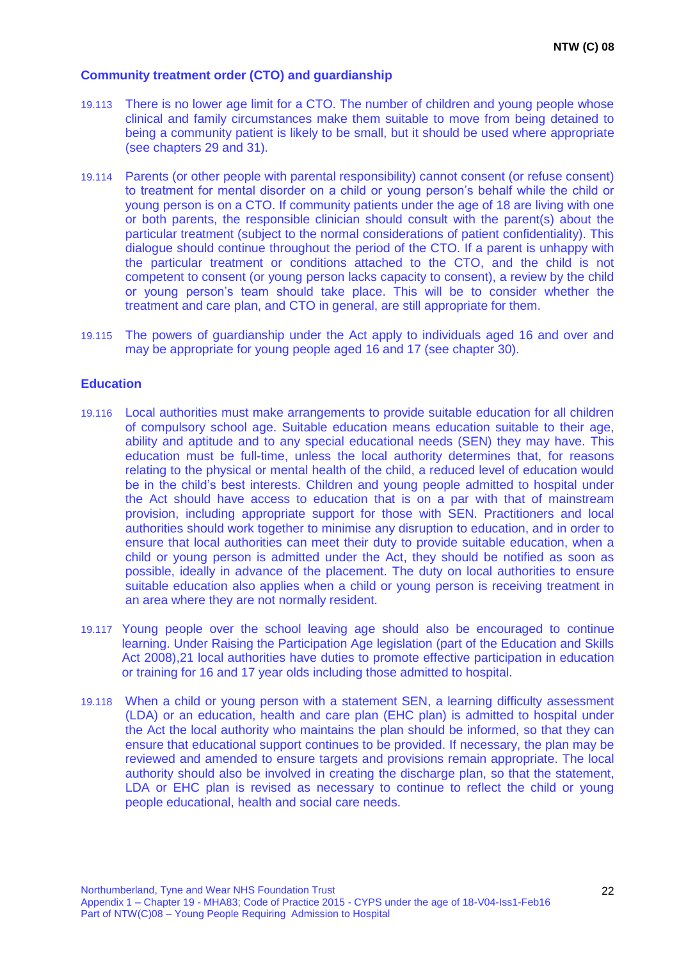#### **Community treatment order (CTO) and guardianship**

- 19.113 There is no lower age limit for a CTO. The number of children and young people whose clinical and family circumstances make them suitable to move from being detained to being a community patient is likely to be small, but it should be used where appropriate (see chapters 29 and 31).
- 19.114 Parents (or other people with parental responsibility) cannot consent (or refuse consent) to treatment for mental disorder on a child or young person's behalf while the child or young person is on a CTO. If community patients under the age of 18 are living with one or both parents, the responsible clinician should consult with the parent(s) about the particular treatment (subject to the normal considerations of patient confidentiality). This dialogue should continue throughout the period of the CTO. If a parent is unhappy with the particular treatment or conditions attached to the CTO, and the child is not competent to consent (or young person lacks capacity to consent), a review by the child or young person's team should take place. This will be to consider whether the treatment and care plan, and CTO in general, are still appropriate for them.
- 19.115 The powers of guardianship under the Act apply to individuals aged 16 and over and may be appropriate for young people aged 16 and 17 (see chapter 30).

# **Education**

- 19.116 Local authorities must make arrangements to provide suitable education for all children of compulsory school age. Suitable education means education suitable to their age, ability and aptitude and to any special educational needs (SEN) they may have. This education must be full-time, unless the local authority determines that, for reasons relating to the physical or mental health of the child, a reduced level of education would be in the child's best interests. Children and young people admitted to hospital under the Act should have access to education that is on a par with that of mainstream provision, including appropriate support for those with SEN. Practitioners and local authorities should work together to minimise any disruption to education, and in order to ensure that local authorities can meet their duty to provide suitable education, when a child or young person is admitted under the Act, they should be notified as soon as possible, ideally in advance of the placement. The duty on local authorities to ensure suitable education also applies when a child or young person is receiving treatment in an area where they are not normally resident.
- 19.117 Young people over the school leaving age should also be encouraged to continue learning. Under Raising the Participation Age legislation (part of the Education and Skills Act 2008),21 local authorities have duties to promote effective participation in education or training for 16 and 17 year olds including those admitted to hospital.
- 19.118 When a child or young person with a statement SEN, a learning difficulty assessment (LDA) or an education, health and care plan (EHC plan) is admitted to hospital under the Act the local authority who maintains the plan should be informed, so that they can ensure that educational support continues to be provided. If necessary, the plan may be reviewed and amended to ensure targets and provisions remain appropriate. The local authority should also be involved in creating the discharge plan, so that the statement, LDA or EHC plan is revised as necessary to continue to reflect the child or young people educational, health and social care needs.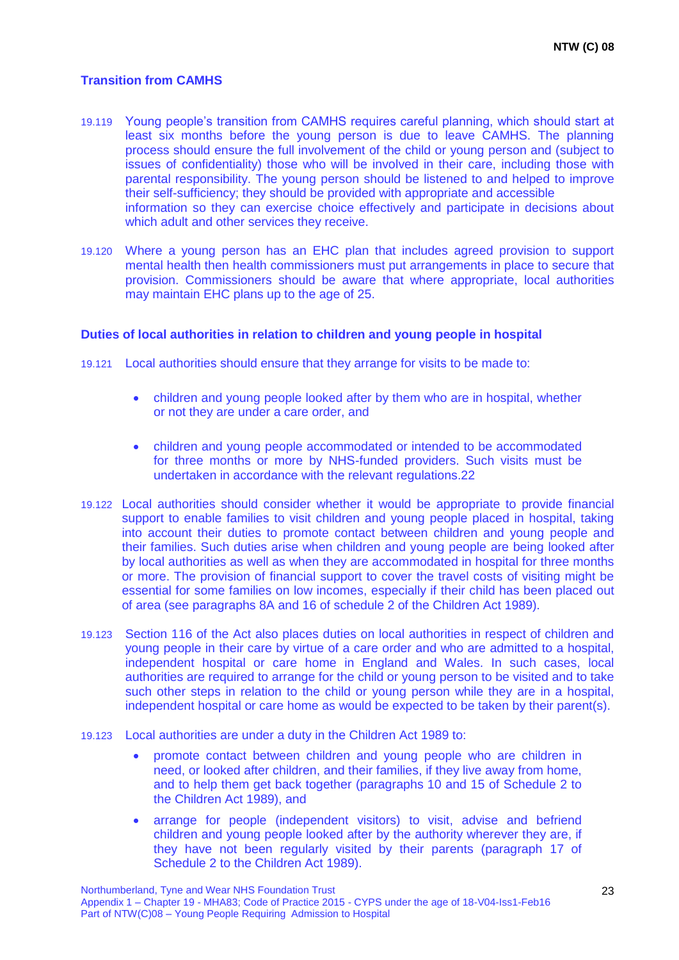# **Transition from CAMHS**

- 19.119 Young people's transition from CAMHS requires careful planning, which should start at least six months before the young person is due to leave CAMHS. The planning process should ensure the full involvement of the child or young person and (subject to issues of confidentiality) those who will be involved in their care, including those with parental responsibility. The young person should be listened to and helped to improve their self-sufficiency; they should be provided with appropriate and accessible information so they can exercise choice effectively and participate in decisions about which adult and other services they receive.
- 19.120 Where a young person has an EHC plan that includes agreed provision to support mental health then health commissioners must put arrangements in place to secure that provision. Commissioners should be aware that where appropriate, local authorities may maintain EHC plans up to the age of 25.

# **Duties of local authorities in relation to children and young people in hospital**

- 19.121 Local authorities should ensure that they arrange for visits to be made to:
	- children and young people looked after by them who are in hospital, whether or not they are under a care order, and
	- children and young people accommodated or intended to be accommodated for three months or more by NHS-funded providers. Such visits must be undertaken in accordance with the relevant regulations.22
- 19.122 Local authorities should consider whether it would be appropriate to provide financial support to enable families to visit children and young people placed in hospital, taking into account their duties to promote contact between children and young people and their families. Such duties arise when children and young people are being looked after by local authorities as well as when they are accommodated in hospital for three months or more. The provision of financial support to cover the travel costs of visiting might be essential for some families on low incomes, especially if their child has been placed out of area (see paragraphs 8A and 16 of schedule 2 of the Children Act 1989).
- 19.123 Section 116 of the Act also places duties on local authorities in respect of children and young people in their care by virtue of a care order and who are admitted to a hospital, independent hospital or care home in England and Wales. In such cases, local authorities are required to arrange for the child or young person to be visited and to take such other steps in relation to the child or young person while they are in a hospital, independent hospital or care home as would be expected to be taken by their parent(s).
- 19.123 Local authorities are under a duty in the Children Act 1989 to:
	- promote contact between children and young people who are children in need, or looked after children, and their families, if they live away from home, and to help them get back together (paragraphs 10 and 15 of Schedule 2 to the Children Act 1989), and
	- arrange for people (independent visitors) to visit, advise and befriend children and young people looked after by the authority wherever they are, if they have not been regularly visited by their parents (paragraph 17 of Schedule 2 to the Children Act 1989).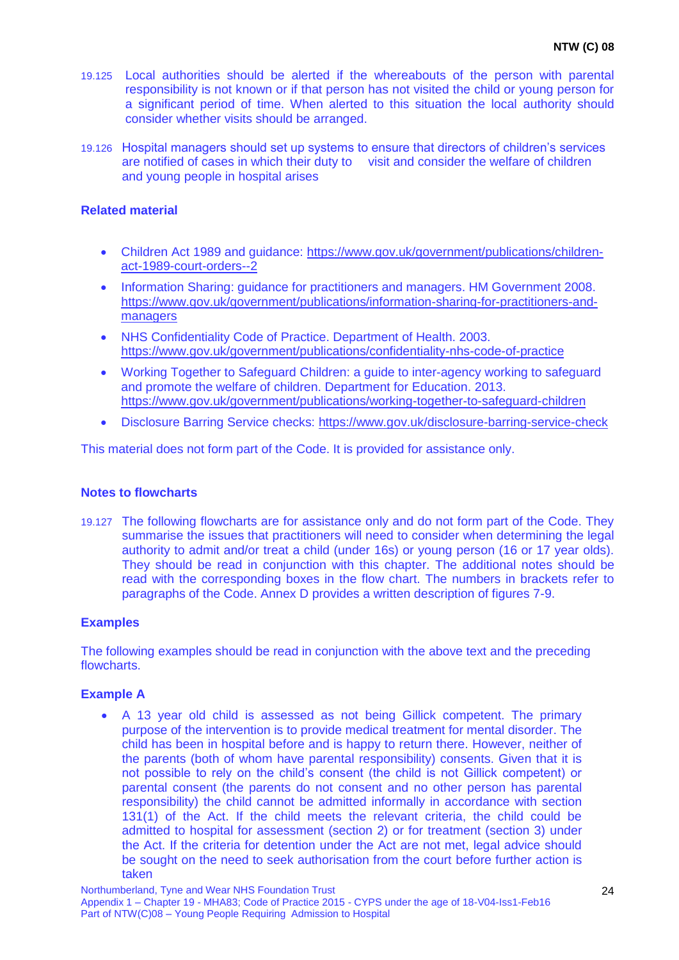- 19.125 Local authorities should be alerted if the whereabouts of the person with parental responsibility is not known or if that person has not visited the child or young person for a significant period of time. When alerted to this situation the local authority should consider whether visits should be arranged.
- 19.126 Hospital managers should set up systems to ensure that directors of children's services are notified of cases in which their duty to visit and consider the welfare of children and young people in hospital arises

# **Related material**

- Children Act 1989 and guidance: https://www.gov.uk/government/publications/childrenact-1989-court-orders--2
- Information Sharing: guidance for practitioners and managers. HM Government 2008. https://www.gov.uk/government/publications/information-sharing-for-practitioners-andmanagers
- NHS Confidentiality Code of Practice. Department of Health. 2003. https://www.gov.uk/government/publications/confidentiality-nhs-code-of-practice
- Working Together to Safeguard Children: a guide to inter-agency working to safeguard and promote the welfare of children. Department for Education. 2013. https://www.gov.uk/government/publications/working-together-to-safeguard-children
- Disclosure Barring Service checks: https://www.gov.uk/disclosure-barring-service-check

This material does not form part of the Code. It is provided for assistance only.

# **Notes to flowcharts**

19.127 The following flowcharts are for assistance only and do not form part of the Code. They summarise the issues that practitioners will need to consider when determining the legal authority to admit and/or treat a child (under 16s) or young person (16 or 17 year olds). They should be read in conjunction with this chapter. The additional notes should be read with the corresponding boxes in the flow chart. The numbers in brackets refer to paragraphs of the Code. Annex D provides a written description of figures 7-9.

# **Examples**

The following examples should be read in conjunction with the above text and the preceding flowcharts.

# **Example A**

 A 13 year old child is assessed as not being Gillick competent. The primary purpose of the intervention is to provide medical treatment for mental disorder. The child has been in hospital before and is happy to return there. However, neither of the parents (both of whom have parental responsibility) consents. Given that it is not possible to rely on the child's consent (the child is not Gillick competent) or parental consent (the parents do not consent and no other person has parental responsibility) the child cannot be admitted informally in accordance with section 131(1) of the Act. If the child meets the relevant criteria, the child could be admitted to hospital for assessment (section 2) or for treatment (section 3) under the Act. If the criteria for detention under the Act are not met, legal advice should be sought on the need to seek authorisation from the court before further action is taken